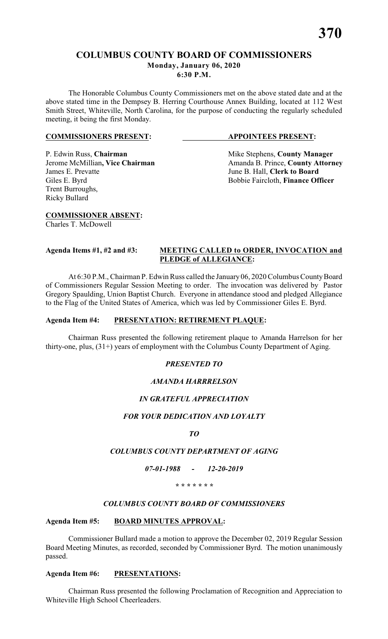The Honorable Columbus County Commissioners met on the above stated date and at the above stated time in the Dempsey B. Herring Courthouse Annex Building, located at 112 West Smith Street, Whiteville, North Carolina, for the purpose of conducting the regularly scheduled meeting, it being the first Monday.

#### **COMMISSIONERS PRESENT: APPOINTEES PRESENT:**

## P. Edwin Russ, **Chairman** Mike Stephens, **County Manager**<br>
Jerome McMillian, Vice Chairman Manager Amanda B. Prince, **County Attorn** Giles E. Byrd Bobbie Faircloth, **Finance Officer** Trent Burroughs, Ricky Bullard

Jerome McMillian, Vice Chairman<br>
James E. Prevatte<br>
June B. Hall. Clerk to Board June B. Hall, **Clerk to Board** 

**COMMISSIONER ABSENT:**

Charles T. McDowell

#### **Agenda Items #1, #2 and #3: MEETING CALLED to ORDER, INVOCATION and PLEDGE of ALLEGIANCE:**

At 6:30 P.M., Chairman P. Edwin Russ called the January 06, 2020 Columbus County Board of Commissioners Regular Session Meeting to order. The invocation was delivered by Pastor Gregory Spaulding, Union Baptist Church. Everyone in attendance stood and pledged Allegiance to the Flag of the United States of America, which was led by Commissioner Giles E. Byrd.

#### **Agenda Item #4: PRESENTATION: RETIREMENT PLAQUE:**

Chairman Russ presented the following retirement plaque to Amanda Harrelson for her thirty-one, plus, (31+) years of employment with the Columbus County Department of Aging.

### *PRESENTED TO*

### *AMANDA HARRRELSON*

### *IN GRATEFUL APPRECIATION*

### *FOR YOUR DEDICATION AND LOYALTY*

*TO*

### *COLUMBUS COUNTY DEPARTMENT OF AGING*

*07-01-1988 - 12-20-2019*

#### *\* \* \* \* \* \* \**

### *COLUMBUS COUNTY BOARD OF COMMISSIONERS*

### **Agenda Item #5: BOARD MINUTES APPROVAL:**

Commissioner Bullard made a motion to approve the December 02, 2019 Regular Session Board Meeting Minutes, as recorded, seconded by Commissioner Byrd. The motion unanimously passed.

### **Agenda Item #6: PRESENTATIONS:**

Chairman Russ presented the following Proclamation of Recognition and Appreciation to Whiteville High School Cheerleaders.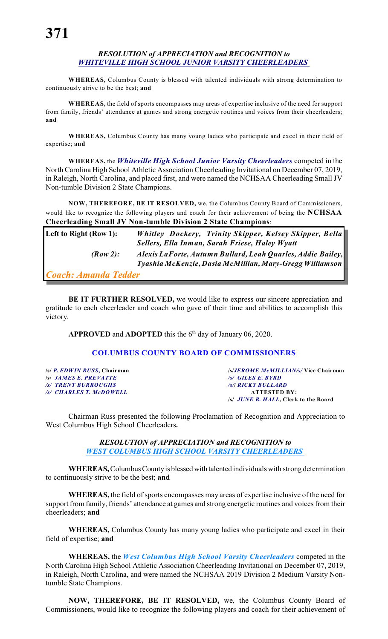#### *RESOLUTION of APPRECIATION and RECOGNITION to WHITEVILLE HIGH SCHOOL JUNIOR VARSITY CHEERLEADERS*

**WHEREAS,** Columbus County is blessed with talented individuals with strong determination to continuously strive to be the best; **and**

**WHEREAS,** the field of sports encompasses may areas of expertise inclusive of the need for support from family, friends' attendance at games and strong energetic routines and voices from their cheerleaders; **and**

**WHEREAS,** Columbus County has many young ladies who participate and excel in their field of expertise; **and**

**WHEREAS,** the *Whiteville High School Junior Varsity Cheerleaders* competed in the North Carolina High School Athletic Association Cheerleading Invitational on December 07, 2019, in Raleigh, North Carolina, and placed first, and were named the NCHSAA Cheerleading Small JV Non-tumble Division 2 State Champions.

**NOW, THEREFORE, BE IT RESOLVED,** we, the Columbus County Board of Commissioners, would like to recognize the following players and coach for their achievement of being the **NCHSAA Cheerleading Small JV Non-tumble Division 2 State Champions**:

| Left to Right (Row 1):      | Whitley Dockery, Trinity Skipper, Kelsey Skipper, Bella     |
|-----------------------------|-------------------------------------------------------------|
|                             | Sellers, Ella Inman, Sarah Friese, Haley Wyatt              |
| $(Row2)$ :                  | Alexis LaForte, Autumn Bullard, Leah Quarles, Addie Bailey, |
|                             | Tyashia McKenzie, Dasia McMillian, Mary-Gregg Williamson    |
| <b>Coach: Amanda Tedder</b> |                                                             |
|                             |                                                             |

**BE IT FURTHER RESOLVED,** we would like to express our sincere appreciation and gratitude to each cheerleader and coach who gave of their time and abilities to accomplish this victory.

**APPROVED** and **ADOPTED** this the  $6<sup>th</sup>$  day of January 06, 2020.

#### **COLUMBUS COUNTY BOARD OF COMMISSIONERS**

**/s/** *JAMES E. PREVATTE /s/ GILES E. BYRD /s/ TRENT BURROUGHS /s/***/** *RICKY BULLARD /s/ CHARLES T. McDOWELL* **ATTESTED BY:**

**/s/** *P. EDWIN RUSS***, Chairman /s/***JEROME McMILLIAN/s/* **Vice Chairman /s/** *JUNE B. HALL***, Clerk to the Board**

Chairman Russ presented the following Proclamation of Recognition and Appreciation to West Columbus High School Cheerleaders**.**

> *RESOLUTION of APPRECIATION and RECOGNITION to WEST COLUMBUS HIGH SCHOOL VARSITY CHEERLEADERS*

**WHEREAS,** Columbus County is blessed with talented individuals with strong determination to continuously strive to be the best; **and**

**WHEREAS,** the field of sports encompasses may areas of expertise inclusive of the need for support from family, friends' attendance at games and strong energetic routines and voices from their cheerleaders; **and**

**WHEREAS,** Columbus County has many young ladies who participate and excel in their field of expertise; **and**

**WHEREAS,** the *West Columbus High School Varsity Cheerleaders* competed in the North Carolina High School Athletic Association Cheerleading Invitational on December 07, 2019, in Raleigh, North Carolina, and were named the NCHSAA 2019 Division 2 Medium Varsity Nontumble State Champions.

**NOW, THEREFORE, BE IT RESOLVED,** we, the Columbus County Board of Commissioners, would like to recognize the following players and coach for their achievement of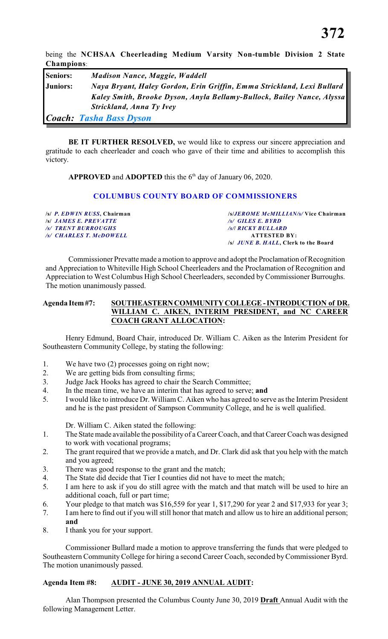being the **NCHSAA Cheerleading Medium Varsity Non-tumble Division 2 State Champions**:

| <b>Seniors:</b> | <b>Madison Nance, Maggie, Waddell</b>                                  |
|-----------------|------------------------------------------------------------------------|
| Juniors:        | Naya Bryant, Haley Gordon, Erin Griffin, Emma Strickland, Lexi Bullard |
|                 | Kaley Smith, Brooke Dyson, Anyla Bellamy-Bullock, Bailey Nance, Alyssa |
|                 | Strickland, Anna Ty Ivey                                               |
|                 | <b>Coach: Tasha Bass Dyson</b>                                         |

**BE IT FURTHER RESOLVED,** we would like to express our sincere appreciation and gratitude to each cheerleader and coach who gave of their time and abilities to accomplish this victory.

**APPROVED** and **ADOPTED** this the  $6<sup>th</sup>$  day of January 06, 2020.

#### **COLUMBUS COUNTY BOARD OF COMMISSIONERS**

**/s/** *P. EDWIN RUSS***, Chairman /s/***JEROME McMILLIAN/s/* **Vice Chairman /s/** *JAMES E. PREVATTE /s/ GILES E. BYRD /s/ TRENT BURROUGHS /s/***/** *RICKY BULLARD /s/ CHARLES T. McDOWELL* **ATTESTED BY: /s/** *JUNE B. HALL***, Clerk to the Board**

Commissioner Prevatte made a motion to approve and adopt the Proclamation of Recognition and Appreciation to Whiteville High School Cheerleaders and the Proclamation of Recognition and Appreciation to West Columbus High School Cheerleaders, seconded by Commissioner Burroughs. The motion unanimously passed.

#### **Agenda Item #7: SOUTHEASTERN COMMUNITY COLLEGE - INTRODUCTION of DR. WILLIAM C. AIKEN, INTERIM PRESIDENT, and NC CAREER COACH GRANT ALLOCATION:**

Henry Edmund, Board Chair, introduced Dr. William C. Aiken as the Interim President for Southeastern Community College, by stating the following:

- 1. We have two (2) processes going on right now;
- 2. We are getting bids from consulting firms;
- 3. Judge Jack Hooks has agreed to chair the Search Committee;
- 4. In the mean time, we have an interim that has agreed to serve; **and**
- 5. I would like to introduce Dr. William C. Aiken who has agreed to serve as the Interim President and he is the past president of Sampson Community College, and he is well qualified.

Dr. William C. Aiken stated the following:

- 1. The State made available the possibility of a Career Coach, and that Career Coach was designed to work with vocational programs;
- 2. The grant required that we provide a match, and Dr. Clark did ask that you help with the match and you agreed;
- 3. There was good response to the grant and the match;
- 4. The State did decide that Tier I counties did not have to meet the match;
- 5. I am here to ask if you do still agree with the match and that match will be used to hire an additional coach, full or part time;
- 6. Your pledge to that match was \$16,559 for year 1, \$17,290 for year 2 and \$17,933 for year 3;
- 7. I am here to find out if you will still honor that match and allow us to hire an additional person; **and**
- 8. I thank you for your support.

Commissioner Bullard made a motion to approve transferring the funds that were pledged to Southeastern CommunityCollege for hiring a second Career Coach, seconded by Commissioner Byrd. The motion unanimously passed.

#### **Agenda Item #8: AUDIT - JUNE 30, 2019 ANNUAL AUDIT:**

Alan Thompson presented the Columbus County June 30, 2019 **Draft** Annual Audit with the following Management Letter.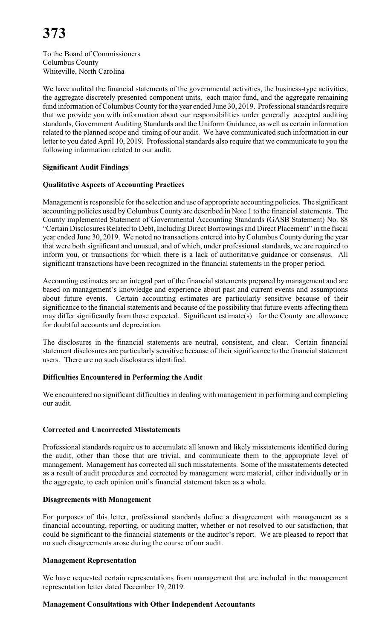To the Board of Commissioners Columbus County Whiteville, North Carolina

We have audited the financial statements of the governmental activities, the business-type activities, the aggregate discretely presented component units, each major fund, and the aggregate remaining fund information of Columbus County for the year ended June 30, 2019. Professional standards require that we provide you with information about our responsibilities under generally accepted auditing standards, Government Auditing Standards and the Uniform Guidance, as well as certain information related to the planned scope and timing of our audit. We have communicated such information in our letter to you dated April 10, 2019. Professional standards also require that we communicate to you the following information related to our audit.

#### **Significant Audit Findings**

#### **Qualitative Aspects of Accounting Practices**

Management is responsible for the selection and use of appropriate accounting policies. The significant accounting policies used by Columbus County are described in Note 1 to the financial statements. The County implemented Statement of Governmental Accounting Standards (GASB Statement) No. 88 "Certain Disclosures Related to Debt, Including Direct Borrowings and Direct Placement" in the fiscal year ended June 30, 2019. We noted no transactions entered into by Columbus County during the year that were both significant and unusual, and of which, under professional standards, we are required to inform you, or transactions for which there is a lack of authoritative guidance or consensus. All significant transactions have been recognized in the financial statements in the proper period.

Accounting estimates are an integral part of the financial statements prepared by management and are based on management's knowledge and experience about past and current events and assumptions about future events. Certain accounting estimates are particularly sensitive because of their significance to the financial statements and because of the possibility that future events affecting them may differ significantly from those expected. Significant estimate(s) for the County are allowance for doubtful accounts and depreciation.

The disclosures in the financial statements are neutral, consistent, and clear. Certain financial statement disclosures are particularly sensitive because of their significance to the financial statement users. There are no such disclosures identified.

### **Difficulties Encountered in Performing the Audit**

We encountered no significant difficulties in dealing with management in performing and completing our audit.

#### **Corrected and Uncorrected Misstatements**

Professional standards require us to accumulate all known and likely misstatements identified during the audit, other than those that are trivial, and communicate them to the appropriate level of management. Management has corrected all such misstatements. Some of the misstatements detected as a result of audit procedures and corrected by management were material, either individually or in the aggregate, to each opinion unit's financial statement taken as a whole.

#### **Disagreements with Management**

For purposes of this letter, professional standards define a disagreement with management as a financial accounting, reporting, or auditing matter, whether or not resolved to our satisfaction, that could be significant to the financial statements or the auditor's report. We are pleased to report that no such disagreements arose during the course of our audit.

#### **Management Representation**

We have requested certain representations from management that are included in the management representation letter dated December 19, 2019.

#### **Management Consultations with Other Independent Accountants**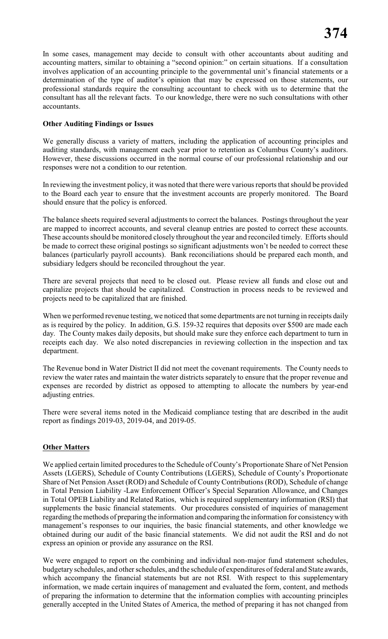In some cases, management may decide to consult with other accountants about auditing and accounting matters, similar to obtaining a "second opinion:" on certain situations. If a consultation involves application of an accounting principle to the governmental unit's financial statements or a determination of the type of auditor's opinion that may be expressed on those statements, our professional standards require the consulting accountant to check with us to determine that the consultant has all the relevant facts. To our knowledge, there were no such consultations with other accountants.

#### **Other Auditing Findings or Issues**

We generally discuss a variety of matters, including the application of accounting principles and auditing standards, with management each year prior to retention as Columbus County's auditors. However, these discussions occurred in the normal course of our professional relationship and our responses were not a condition to our retention.

In reviewing the investment policy, it was noted that there were various reports that should be provided to the Board each year to ensure that the investment accounts are properly monitored. The Board should ensure that the policy is enforced.

The balance sheets required several adjustments to correct the balances. Postings throughout the year are mapped to incorrect accounts, and several cleanup entries are posted to correct these accounts. These accounts should be monitored closely throughout the year and reconciled timely. Efforts should be made to correct these original postings so significant adjustments won't be needed to correct these balances (particularly payroll accounts). Bank reconciliations should be prepared each month, and subsidiary ledgers should be reconciled throughout the year.

There are several projects that need to be closed out. Please review all funds and close out and capitalize projects that should be capitalized. Construction in process needs to be reviewed and projects need to be capitalized that are finished.

When we performed revenue testing, we noticed that some departments are not turning in receipts daily as is required by the policy. In addition, G.S. 159-32 requires that deposits over \$500 are made each day. The County makes daily deposits, but should make sure they enforce each department to turn in receipts each day. We also noted discrepancies in reviewing collection in the inspection and tax department.

The Revenue bond in Water District II did not meet the covenant requirements. The County needs to review the water rates and maintain the water districts separately to ensure that the proper revenue and expenses are recorded by district as opposed to attempting to allocate the numbers by year-end adjusting entries.

There were several items noted in the Medicaid compliance testing that are described in the audit report as findings 2019-03, 2019-04, and 2019-05.

### **Other Matters**

We applied certain limited procedures to the Schedule of County's Proportionate Share of Net Pension Assets (LGERS), Schedule of County Contributions (LGERS), Schedule of County's Proportionate Share of Net Pension Asset (ROD) and Schedule of County Contributions (ROD), Schedule of change in Total Pension Liability -Law Enforcement Officer's Special Separation Allowance, and Changes in Total OPEB Liability and Related Ratios, which is required supplementary information (RSI) that supplements the basic financial statements. Our procedures consisted of inquiries of management regarding the methods of preparing the information and comparing the information for consistency with management's responses to our inquiries, the basic financial statements, and other knowledge we obtained during our audit of the basic financial statements. We did not audit the RSI and do not express an opinion or provide any assurance on the RSI.

We were engaged to report on the combining and individual non-major fund statement schedules, budgetary schedules, and other schedules, and the schedule of expenditures of federal and State awards, which accompany the financial statements but are not RSI. With respect to this supplementary information, we made certain inquires of management and evaluated the form, content, and methods of preparing the information to determine that the information complies with accounting principles generally accepted in the United States of America, the method of preparing it has not changed from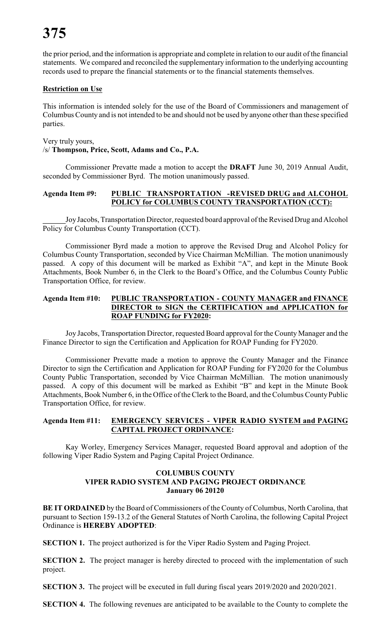the prior period, and the information is appropriate and complete in relation to our audit of the financial statements. We compared and reconciled the supplementary information to the underlying accounting records used to prepare the financial statements or to the financial statements themselves.

#### **Restriction on Use**

This information is intended solely for the use of the Board of Commissioners and management of Columbus County and is not intended to be and should not be used by anyone other than these specified parties.

Very truly yours, /s/ **Thompson, Price, Scott, Adams and Co., P.A.**

Commissioner Prevatte made a motion to accept the **DRAFT** June 30, 2019 Annual Audit, seconded by Commissioner Byrd. The motion unanimously passed.

#### **Agenda Item #9: PUBLIC TRANSPORTATION -REVISED DRUG and ALCOHOL POLICY for COLUMBUS COUNTY TRANSPORTATION (CCT):**

Joy Jacobs, Transportation Director, requested board approval of the Revised Drug and Alcohol Policy for Columbus County Transportation (CCT).

Commissioner Byrd made a motion to approve the Revised Drug and Alcohol Policy for Columbus County Transportation, seconded by Vice Chairman McMillian. The motion unanimously passed. A copy of this document will be marked as Exhibit "A", and kept in the Minute Book Attachments, Book Number 6, in the Clerk to the Board's Office, and the Columbus County Public Transportation Office, for review.

#### **Agenda Item #10: PUBLIC TRANSPORTATION - COUNTY MANAGER and FINANCE DIRECTOR to SIGN the CERTIFICATION and APPLICATION for ROAP FUNDING for FY2020:**

Joy Jacobs, Transportation Director, requested Board approval for the County Manager and the Finance Director to sign the Certification and Application for ROAP Funding for FY2020.

Commissioner Prevatte made a motion to approve the County Manager and the Finance Director to sign the Certification and Application for ROAP Funding for FY2020 for the Columbus County Public Transportation, seconded by Vice Chairman McMillian. The motion unanimously passed. A copy of this document will be marked as Exhibit "B" and kept in the Minute Book Attachments, Book Number 6, in the Office of the Clerk to the Board, and the Columbus County Public Transportation Office, for review.

#### **Agenda Item #11: EMERGENCY SERVICES - VIPER RADIO SYSTEM and PAGING CAPITAL PROJECT ORDINANCE:**

Kay Worley, Emergency Services Manager, requested Board approval and adoption of the following Viper Radio System and Paging Capital Project Ordinance.

#### **COLUMBUS COUNTY VIPER RADIO SYSTEM AND PAGING PROJECT ORDINANCE January 06 20120**

**BE IT ORDAINED** by the Board of Commissioners of the County of Columbus, North Carolina, that pursuant to Section 159-13.2 of the General Statutes of North Carolina, the following Capital Project Ordinance is **HEREBY ADOPTED**:

**SECTION 1.** The project authorized is for the Viper Radio System and Paging Project.

**SECTION 2.** The project manager is hereby directed to proceed with the implementation of such project.

**SECTION 3.** The project will be executed in full during fiscal years 2019/2020 and 2020/2021.

**SECTION 4.** The following revenues are anticipated to be available to the County to complete the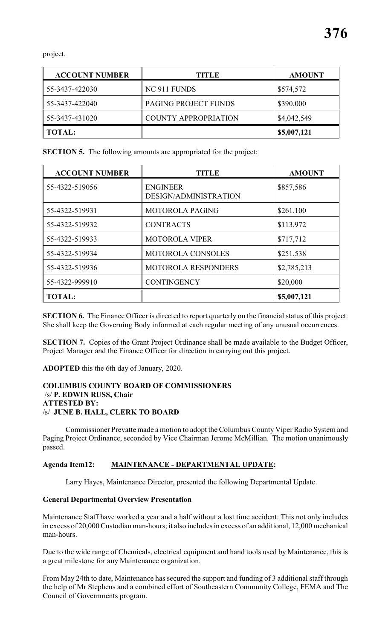project.

| <b>ACCOUNT NUMBER</b> | <b>TITLE</b>                | <b>AMOUNT</b> |
|-----------------------|-----------------------------|---------------|
| 55-3437-422030        | NC 911 FUNDS                | \$574,572     |
| 55-3437-422040        | <b>PAGING PROJECT FUNDS</b> | \$390,000     |
| 55-3437-431020        | <b>COUNTY APPROPRIATION</b> | \$4,042,549   |
| <b>TOTAL:</b>         |                             | \$5,007,121   |

**SECTION 5.** The following amounts are appropriated for the project:

| <b>ACCOUNT NUMBER</b> | <b>TITLE</b>                             | <b>AMOUNT</b> |
|-----------------------|------------------------------------------|---------------|
| 55-4322-519056        | <b>ENGINEER</b><br>DESIGN/ADMINISTRATION | \$857,586     |
| 55-4322-519931        | <b>MOTOROLA PAGING</b>                   | \$261,100     |
| 55-4322-519932        | <b>CONTRACTS</b>                         | \$113,972     |
| 55-4322-519933        | <b>MOTOROLA VIPER</b>                    | \$717,712     |
| 55-4322-519934        | <b>MOTOROLA CONSOLES</b>                 | \$251,538     |
| 55-4322-519936        | <b>MOTOROLA RESPONDERS</b>               | \$2,785,213   |
| 55-4322-999910        | <b>CONTINGENCY</b>                       | \$20,000      |
| <b>TOTAL:</b>         |                                          | \$5,007,121   |

**SECTION 6.** The Finance Officer is directed to report quarterly on the financial status of this project. She shall keep the Governing Body informed at each regular meeting of any unusual occurrences.

**SECTION 7.** Copies of the Grant Project Ordinance shall be made available to the Budget Officer, Project Manager and the Finance Officer for direction in carrying out this project.

**ADOPTED** this the 6th day of January, 2020.

#### **COLUMBUS COUNTY BOARD OF COMMISSIONERS** /s/ **P. EDWIN RUSS, Chair ATTESTED BY:**  /s/ **JUNE B. HALL, CLERK TO BOARD**

Commissioner Prevatte made a motion to adopt the Columbus County Viper Radio System and Paging Project Ordinance, seconded by Vice Chairman Jerome McMillian. The motion unanimously passed.

### **Agenda Item12: MAINTENANCE - DEPARTMENTAL UPDATE:**

Larry Hayes, Maintenance Director, presented the following Departmental Update.

#### **General Departmental Overview Presentation**

Maintenance Staff have worked a year and a half without a lost time accident. This not only includes in excess of 20,000 Custodian man-hours; it also includes in excess of an additional, 12,000 mechanical man-hours.

Due to the wide range of Chemicals, electrical equipment and hand tools used by Maintenance, this is a great milestone for any Maintenance organization.

From May 24th to date, Maintenance has secured the support and funding of 3 additional staff through the help of Mr Stephens and a combined effort of Southeastern Community College, FEMA and The Council of Governments program.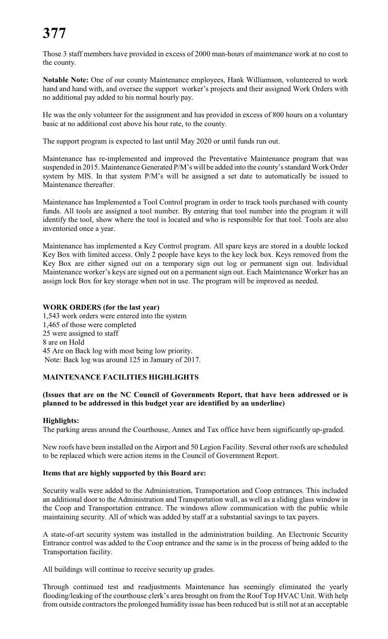Those 3 staff members have provided in excess of 2000 man-hours of maintenance work at no cost to the county.

**Notable Note:** One of our county Maintenance employees, Hank Williamson, volunteered to work hand and hand with, and oversee the support worker's projects and their assigned Work Orders with no additional pay added to his normal hourly pay.

He was the only volunteer for the assignment and has provided in excess of 800 hours on a voluntary basic at no additional cost above his hour rate, to the county.

The support program is expected to last until May 2020 or until funds run out.

Maintenance has re-implemented and improved the Preventative Maintenance program that was suspended in 2015. Maintenance Generated P/M's will be added into the county's standard Work Order system by MIS. In that system P/M's will be assigned a set date to automatically be issued to Maintenance thereafter.

Maintenance has Implemented a Tool Control program in order to track tools purchased with county funds. All tools are assigned a tool number. By entering that tool number into the program it will identify the tool, show where the tool is located and who is responsible for that tool. Tools are also inventoried once a year.

Maintenance has implemented a Key Control program. All spare keys are stored in a double locked Key Box with limited access. Only 2 people have keys to the key lock box. Keys removed from the Key Box are either signed out on a temporary sign out log or permanent sign out. Individual Maintenance worker's keys are signed out on a permanent sign out. Each Maintenance Worker has an assign lock Box for key storage when not in use. The program will be improved as needed.

#### **WORK ORDERS (for the last year)**

1,543 work orders were entered into the system 1,465 of those were completed 25 were assigned to staff 8 are on Hold 45 Are on Back log with most being low priority. Note: Back log was around 125 in January of 2017.

### **MAINTENANCE FACILITIES HIGHLIGHTS**

#### **(Issues that are on the NC Council of Governments Report, that have been addressed or is planned to be addressed in this budget year are identified by an underline)**

#### **Highlights:**

The parking areas around the Courthouse, Annex and Tax office have been significantly up-graded.

New roofs have been installed on the Airport and 50 Legion Facility. Several other roofs are scheduled to be replaced which were action items in the Council of Government Report.

#### **Items that are highly supported by this Board are:**

Security walls were added to the Administration, Transportation and Coop entrances. This included an additional door to the Administration and Transportation wall, as well as a sliding glass window in the Coop and Transportation entrance. The windows allow communication with the public while maintaining security. All of which was added by staff at a substantial savings to tax payers.

A state-of-art security system was installed in the administration building. An Electronic Security Entrance control was added to the Coop entrance and the same is in the process of being added to the Transportation facility.

All buildings will continue to receive security up grades.

Through continued test and readjustments Maintenance has seemingly eliminated the yearly flooding/leaking of the courthouse clerk's area brought on from the Roof Top HVAC Unit. With help from outside contractors the prolonged humidity issue has been reduced but is still not at an acceptable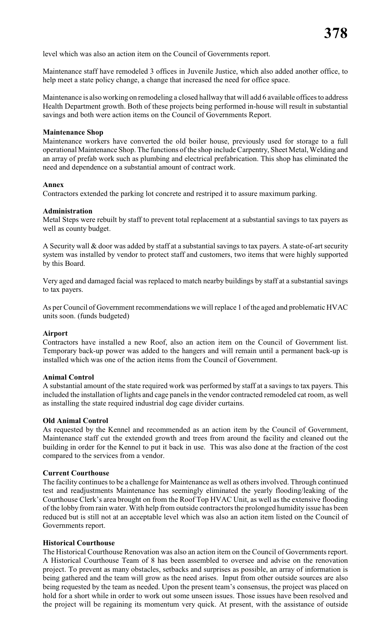level which was also an action item on the Council of Governments report.

Maintenance staff have remodeled 3 offices in Juvenile Justice, which also added another office, to help meet a state policy change, a change that increased the need for office space.

Maintenance is also working on remodeling a closed hallway that will add 6 available offices to address Health Department growth. Both of these projects being performed in-house will result in substantial savings and both were action items on the Council of Governments Report.

#### **Maintenance Shop**

Maintenance workers have converted the old boiler house, previously used for storage to a full operational Maintenance Shop. The functions of the shop include Carpentry, Sheet Metal, Welding and an array of prefab work such as plumbing and electrical prefabrication. This shop has eliminated the need and dependence on a substantial amount of contract work.

#### **Annex**

Contractors extended the parking lot concrete and restriped it to assure maximum parking.

#### **Administration**

Metal Steps were rebuilt by staff to prevent total replacement at a substantial savings to tax payers as well as county budget.

A Security wall & door was added by staff at a substantial savings to tax payers. A state-of-art security system was installed by vendor to protect staff and customers, two items that were highly supported by this Board.

Very aged and damaged facial was replaced to match nearby buildings by staff at a substantial savings to tax payers.

As per Council of Government recommendations we will replace 1 of the aged and problematic HVAC units soon. (funds budgeted)

#### **Airport**

Contractors have installed a new Roof, also an action item on the Council of Government list. Temporary back-up power was added to the hangers and will remain until a permanent back-up is installed which was one of the action items from the Council of Government.

#### **Animal Control**

A substantial amount of the state required work was performed by staff at a savings to tax payers. This included the installation of lights and cage panels in the vendor contracted remodeled cat room, as well as installing the state required industrial dog cage divider curtains.

#### **Old Animal Control**

As requested by the Kennel and recommended as an action item by the Council of Government, Maintenance staff cut the extended growth and trees from around the facility and cleaned out the building in order for the Kennel to put it back in use. This was also done at the fraction of the cost compared to the services from a vendor.

#### **Current Courthouse**

The facility continues to be a challenge for Maintenance as well as others involved. Through continued test and readjustments Maintenance has seemingly eliminated the yearly flooding/leaking of the Courthouse Clerk's area brought on from the Roof Top HVAC Unit, as well as the extensive flooding of the lobby from rain water. With help from outside contractors the prolonged humidity issue has been reduced but is still not at an acceptable level which was also an action item listed on the Council of Governments report.

#### **Historical Courthouse**

The Historical Courthouse Renovation was also an action item on the Council of Governments report. A Historical Courthouse Team of 8 has been assembled to oversee and advise on the renovation project. To prevent as many obstacles, setbacks and surprises as possible, an array of information is being gathered and the team will grow as the need arises. Input from other outside sources are also being requested by the team as needed. Upon the present team's consensus, the project was placed on hold for a short while in order to work out some unseen issues. Those issues have been resolved and the project will be regaining its momentum very quick. At present, with the assistance of outside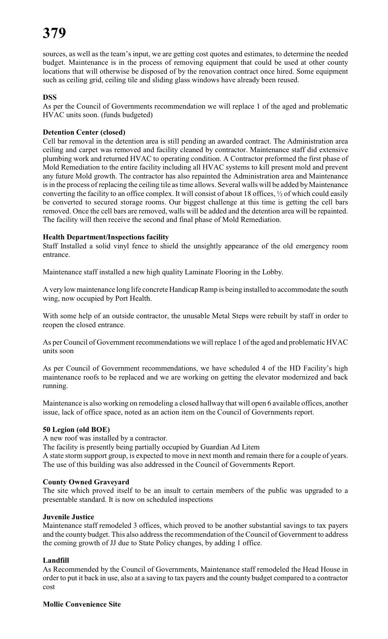sources, as well as the team's input, we are getting cost quotes and estimates, to determine the needed budget. Maintenance is in the process of removing equipment that could be used at other county locations that will otherwise be disposed of by the renovation contract once hired. Some equipment such as ceiling grid, ceiling tile and sliding glass windows have already been reused.

#### **DSS**

As per the Council of Governments recommendation we will replace 1 of the aged and problematic HVAC units soon. (funds budgeted)

#### **Detention Center (closed)**

Cell bar removal in the detention area is still pending an awarded contract. The Administration area ceiling and carpet was removed and facility cleaned by contractor. Maintenance staff did extensive plumbing work and returned HVAC to operating condition. A Contractor preformed the first phase of Mold Remediation to the entire facility including all HVAC systems to kill present mold and prevent any future Mold growth. The contractor has also repainted the Administration area and Maintenance is in the process of replacing the ceiling tile as time allows. Several walls will be added by Maintenance converting the facility to an office complex. It will consist of about 18 offices, ½ of which could easily be converted to secured storage rooms. Our biggest challenge at this time is getting the cell bars removed. Once the cell bars are removed, walls will be added and the detention area will be repainted. The facility will then receive the second and final phase of Mold Remediation.

#### **Health Department/Inspections facility**

Staff Installed a solid vinyl fence to shield the unsightly appearance of the old emergency room entrance.

Maintenance staff installed a new high quality Laminate Flooring in the Lobby.

A very low maintenance long life concrete Handicap Ramp is being installed to accommodate the south wing, now occupied by Port Health.

With some help of an outside contractor, the unusable Metal Steps were rebuilt by staff in order to reopen the closed entrance.

As per Council of Government recommendations we will replace 1 of the aged and problematic HVAC units soon

As per Council of Government recommendations, we have scheduled 4 of the HD Facility's high maintenance roofs to be replaced and we are working on getting the elevator modernized and back running.

Maintenance is also working on remodeling a closed hallway that will open 6 available offices, another issue, lack of office space, noted as an action item on the Council of Governments report.

#### **50 Legion (old BOE)**

A new roof was installed by a contractor.

The facility is presently being partially occupied by Guardian Ad Litem

A state storm support group, is expected to move in next month and remain there for a couple of years. The use of this building was also addressed in the Council of Governments Report.

#### **County Owned Graveyard**

The site which proved itself to be an insult to certain members of the public was upgraded to a presentable standard. It is now on scheduled inspections

#### **Juvenile Justice**

Maintenance staff remodeled 3 offices, which proved to be another substantial savings to tax payers and the county budget. This also address the recommendation of the Council of Government to address the coming growth of JJ due to State Policy changes, by adding 1 office.

### **Landfill**

As Recommended by the Council of Governments, Maintenance staff remodeled the Head House in order to put it back in use, also at a saving to tax payers and the county budget compared to a contractor cost

#### **Mollie Convenience Site**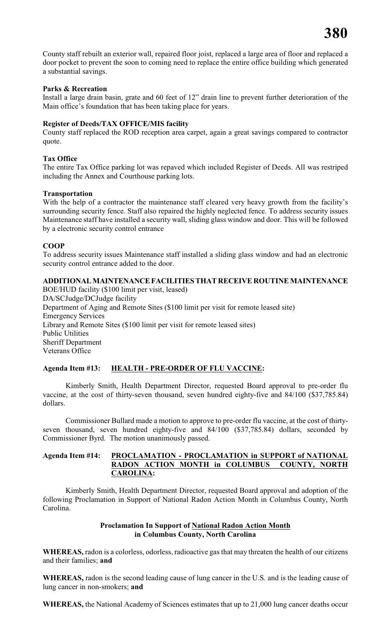County staff rebuilt an exterior wall, repaired floor joist, replaced a large area of floor and replaced a door pocket to prevent the soon to coming need to replace the entire office building which generated a substantial savings.

#### **Parks & Recreation**

Install a large drain basin, grate and 60 feet of 12" drain line to prevent further deterioration of the Main office's foundation that has been taking place for years.

#### **Register of Deeds/TAX OFFICE/MIS facility**

County staff replaced the ROD reception area carpet, again a great savings compared to contractor quote.

#### **Tax Office**

The entire Tax Office parking lot was repaved which included Register of Deeds. All was restriped including the Annex and Courthouse parking lots.

#### **Transportation**

With the help of a contractor the maintenance staff cleared very heavy growth from the facility's surrounding security fence. Staff also repaired the highly neglected fence. To address security issues Maintenance staff have installed a security wall, sliding glass window and door. This will be followed by a electronic security control entrance

#### **COOP**

To address security issues Maintenance staff installed a sliding glass window and had an electronic security control entrance added to the door.

### **ADDITIONAL MAINTENANCE FACILITIES THAT RECEIVE ROUTINE MAINTENANCE**

BOE/HUD facility (\$100 limit per visit, leased) DA/SCJudge/DCJudge facility Department of Aging and Remote Sites (\$100 limit per visit for remote leased site) Emergency Services Library and Remote Sites (\$100 limit per visit for remote leased sites) Public Utilities Sheriff Department Veterans Office

### **Agenda Item #13: HEALTH - PRE-ORDER OF FLU VACCINE:**

Kimberly Smith, Health Department Director, requested Board approval to pre-order flu vaccine, at the cost of thirty-seven thousand, seven hundred eighty-five and 84/100 (\$37,785.84) dollars.

Commissioner Bullard made a motion to approve to pre-order flu vaccine, at the cost of thirtyseven thousand, seven hundred eighty-five and 84/100 (\$37,785.84) dollars, seconded by Commissioner Byrd. The motion unanimously passed.

#### **Agenda Item #14: PROCLAMATION - PROCLAMATION in SUPPORT of NATIONAL RADON ACTION MONTH in COLUMBUS COUNTY, NORTH CAROLINA:**

Kimberly Smith, Health Department Director, requested Board approval and adoption of the following Proclamation in Support of National Radon Action Month in Columbus County, North Carolina.

#### **Proclamation In Support of National Radon Action Month in Columbus County, North Carolina**

**WHEREAS,** radon is a colorless, odorless, radioactive gas that may threaten the health of our citizens and their families; **and**

**WHEREAS,** radon is the second leading cause of lung cancer in the U.S. and is the leading cause of lung cancer in non-smokers; **and**

**WHEREAS,** the National Academy of Sciences estimates that up to 21,000 lung cancer deaths occur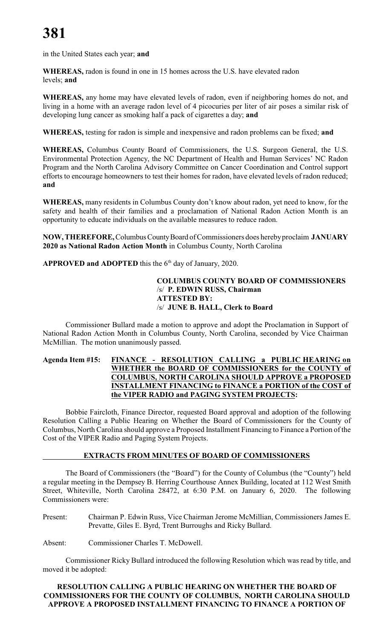in the United States each year; **and**

**WHEREAS,** radon is found in one in 15 homes across the U.S. have elevated radon levels; **and**

**WHEREAS,** any home may have elevated levels of radon, even if neighboring homes do not, and living in a home with an average radon level of 4 picocuries per liter of air poses a similar risk of developing lung cancer as smoking half a pack of cigarettes a day; **and**

**WHEREAS,** testing for radon is simple and inexpensive and radon problems can be fixed; **and**

**WHEREAS,** Columbus County Board of Commissioners, the U.S. Surgeon General, the U.S. Environmental Protection Agency, the NC Department of Health and Human Services' NC Radon Program and the North Carolina Advisory Committee on Cancer Coordination and Control support efforts to encourage homeowners to test their homes for radon, have elevated levels of radon reduced; **and**

**WHEREAS,** many residents in Columbus County don't know about radon, yet need to know, for the safety and health of their families and a proclamation of National Radon Action Month is an opportunity to educate individuals on the available measures to reduce radon.

**NOW, THEREFORE,** Columbus County Board of Commissioners does hereby proclaim **JANUARY 2020 as National Radon Action Month** in Columbus County, North Carolina

**APPROVED and ADOPTED** this the  $6<sup>th</sup>$  day of January, 2020.

**COLUMBUS COUNTY BOARD OF COMMISSIONERS** /s/ **P. EDWIN RUSS, Chairman ATTESTED BY:** /s/ **JUNE B. HALL, Clerk to Board**

Commissioner Bullard made a motion to approve and adopt the Proclamation in Support of National Radon Action Month in Columbus County, North Carolina, seconded by Vice Chairman McMillian. The motion unanimously passed.

#### **Agenda Item #15: FINANCE - RESOLUTION CALLING a PUBLIC HEARING on WHETHER the BOARD OF COMMISSIONERS for the COUNTY of COLUMBUS, NORTH CAROLINA SHOULD APPROVE a PROPOSED INSTALLMENT FINANCING to FINANCE a PORTION of the COST of the VIPER RADIO and PAGING SYSTEM PROJECTS:**

Bobbie Faircloth, Finance Director, requested Board approval and adoption of the following Resolution Calling a Public Hearing on Whether the Board of Commissioners for the County of Columbus, North Carolina should approve a Proposed Installment Financing to Finance a Portion of the Cost of the VIPER Radio and Paging System Projects.

### **EXTRACTS FROM MINUTES OF BOARD OF COMMISSIONERS**

The Board of Commissioners (the "Board") for the County of Columbus (the "County") held a regular meeting in the Dempsey B. Herring Courthouse Annex Building, located at 112 West Smith Street, Whiteville, North Carolina 28472, at 6:30 P.M. on January 6, 2020. The following Commissioners were:

Present: Chairman P. Edwin Russ, Vice Chairman Jerome McMillian, Commissioners James E. Prevatte, Giles E. Byrd, Trent Burroughs and Ricky Bullard.

Absent: Commissioner Charles T. McDowell.

Commissioner Ricky Bullard introduced the following Resolution which was read by title, and moved it be adopted:

#### **RESOLUTION CALLING A PUBLIC HEARING ON WHETHER THE BOARD OF COMMISSIONERS FOR THE COUNTY OF COLUMBUS, NORTH CAROLINA SHOULD APPROVE A PROPOSED INSTALLMENT FINANCING TO FINANCE A PORTION OF**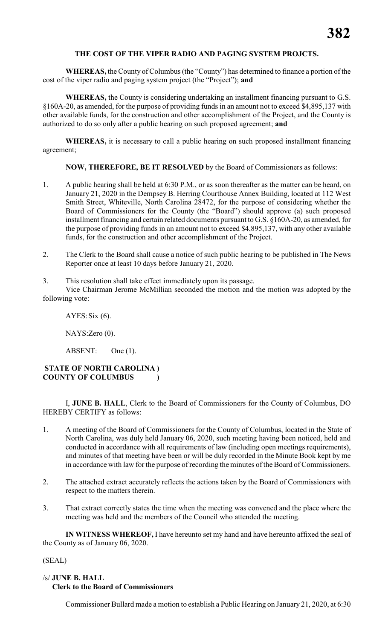#### **THE COST OF THE VIPER RADIO AND PAGING SYSTEM PROJCTS.**

**WHEREAS,** the County of Columbus (the "County") has determined to finance a portion of the cost of the viper radio and paging system project (the "Project"); **and**

**WHEREAS,** the County is considering undertaking an installment financing pursuant to G.S. §160A-20, as amended, for the purpose of providing funds in an amount not to exceed \$4,895,137 with other available funds, for the construction and other accomplishment of the Project, and the County is authorized to do so only after a public hearing on such proposed agreement; **and**

**WHEREAS,** it is necessary to call a public hearing on such proposed installment financing agreement;

**NOW, THEREFORE, BE IT RESOLVED** by the Board of Commissioners as follows:

- 1. A public hearing shall be held at 6:30 P.M., or as soon thereafter as the matter can be heard, on January 21, 2020 in the Dempsey B. Herring Courthouse Annex Building, located at 112 West Smith Street, Whiteville, North Carolina 28472, for the purpose of considering whether the Board of Commissioners for the County (the "Board") should approve (a) such proposed installment financing and certain related documents pursuant to G.S. §160A-20, as amended, for the purpose of providing funds in an amount not to exceed \$4,895,137, with any other available funds, for the construction and other accomplishment of the Project.
- 2. The Clerk to the Board shall cause a notice of such public hearing to be published in The News Reporter once at least 10 days before January 21, 2020.
- 3. This resolution shall take effect immediately upon its passage.

Vice Chairman Jerome McMillian seconded the motion and the motion was adopted by the following vote:

AYES:Six (6).

NAYS:Zero (0).

ABSENT: One (1).

#### **STATE OF NORTH CAROLINA ) COUNTY OF COLUMBUS )**

I, **JUNE B. HALL**, Clerk to the Board of Commissioners for the County of Columbus, DO HEREBY CERTIFY as follows:

- 1. A meeting of the Board of Commissioners for the County of Columbus, located in the State of North Carolina, was duly held January 06, 2020, such meeting having been noticed, held and conducted in accordance with all requirements of law (including open meetings requirements), and minutes of that meeting have been or will be duly recorded in the Minute Book kept by me in accordance with law for the purpose of recording the minutes ofthe Board of Commissioners.
- 2. The attached extract accurately reflects the actions taken by the Board of Commissioners with respect to the matters therein.
- 3. That extract correctly states the time when the meeting was convened and the place where the meeting was held and the members of the Council who attended the meeting.

**IN WITNESS WHEREOF,** I have hereunto set my hand and have hereunto affixed the seal of the County as of January 06, 2020.

#### (SEAL)

#### /s/ **JUNE B. HALL Clerk to the Board of Commissioners**

Commissioner Bullard made a motion to establish a Public Hearing on January 21, 2020, at 6:30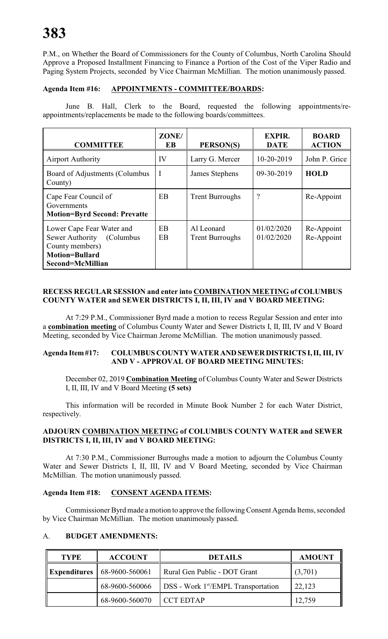P.M., on Whether the Board of Commissioners for the County of Columbus, North Carolina Should Approve a Proposed Installment Financing to Finance a Portion of the Cost of the Viper Radio and Paging System Projects, seconded by Vice Chairman McMillian. The motion unanimously passed.

#### **Agenda Item #16: APPOINTMENTS - COMMITTEE/BOARDS:**

June B. Hall, Clerk to the Board, requested the following appointments/reappointments/replacements be made to the following boards/committees.

| <b>COMMITTEE</b>                                                                                                          | ZONE/<br>EB | PERSON(S)                            | <b>EXPIR.</b><br><b>DATE</b> | <b>BOARD</b><br><b>ACTION</b> |
|---------------------------------------------------------------------------------------------------------------------------|-------------|--------------------------------------|------------------------------|-------------------------------|
| <b>Airport Authority</b>                                                                                                  | IV          | Larry G. Mercer                      | $10 - 20 - 2019$             | John P. Grice                 |
| Board of Adjustments (Columbus<br>County)                                                                                 | $\mathbf I$ | James Stephens                       | 09-30-2019                   | <b>HOLD</b>                   |
| Cape Fear Council of<br>Governments<br><b>Motion=Byrd Second: Prevatte</b>                                                | EB          | <b>Trent Burroughs</b>               | $\ddot{?}$                   | Re-Appoint                    |
| Lower Cape Fear Water and<br>Sewer Authority<br>(Columbus<br>County members)<br><b>Motion=Bullard</b><br>Second=McMillian | EB<br>EB    | Al Leonard<br><b>Trent Burroughs</b> | 01/02/2020<br>01/02/2020     | Re-Appoint<br>Re-Appoint      |

#### **RECESS REGULAR SESSION and enter into COMBINATION MEETING of COLUMBUS COUNTY WATER and SEWER DISTRICTS I, II, III, IV and V BOARD MEETING:**

At 7:29 P.M., Commissioner Byrd made a motion to recess Regular Session and enter into a **combination meeting** of Columbus County Water and Sewer Districts I, II, III, IV and V Board Meeting, seconded by Vice Chairman Jerome McMillian. The motion unanimously passed.

#### **Agenda Item #17: COLUMBUS COUNTY WATER AND SEWER DISTRICTS I, II, III, IV AND V - APPROVAL OF BOARD MEETING MINUTES:**

December 02, 2019 **Combination Meeting** of Columbus County Water and Sewer Districts I, II, III, IV and V Board Meeting **(5 sets)**

This information will be recorded in Minute Book Number 2 for each Water District, respectively.

#### **ADJOURN COMBINATION MEETING of COLUMBUS COUNTY WATER and SEWER DISTRICTS I, II, III, IV and V BOARD MEETING:**

At 7:30 P.M., Commissioner Burroughs made a motion to adjourn the Columbus County Water and Sewer Districts I, II, III, IV and V Board Meeting, seconded by Vice Chairman McMillian. The motion unanimously passed.

#### **Agenda Item #18: CONSENT AGENDA ITEMS:**

Commissioner Byrd made a motion to approve the following Consent Agenda Items, seconded by Vice Chairman McMillian. The motion unanimously passed.

### A. **BUDGET AMENDMENTS:**

| <b>TYPE</b>              | <b>ACCOUNT</b> | <b>DETAILS</b>                                          | <b>AMOUNT</b> |
|--------------------------|----------------|---------------------------------------------------------|---------------|
| $\parallel$ Expenditures | 68-9600-560061 | Rural Gen Public - DOT Grant                            | (3,701)       |
|                          | 68-9600-560066 | $\vert$ DSS - Work 1 <sup>st</sup> /EMPL Transportation | 22,123        |
|                          | 68-9600-560070 | <b>CCT EDTAP</b>                                        | 12,759        |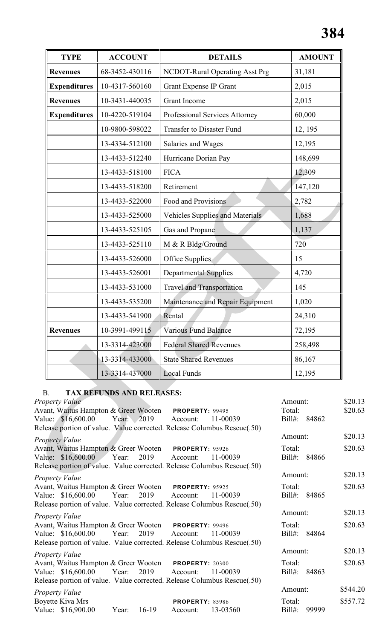| <b>TYPE</b>         | <b>ACCOUNT</b> | <b>DETAILS</b>                         | <b>AMOUNT</b> |
|---------------------|----------------|----------------------------------------|---------------|
| <b>Revenues</b>     | 68-3452-430116 | NCDOT-Rural Operating Asst Prg         | 31,181        |
| <b>Expenditures</b> | 10-4317-560160 | <b>Grant Expense IP Grant</b>          | 2,015         |
| <b>Revenues</b>     | 10-3431-440035 | <b>Grant Income</b>                    | 2,015         |
| <b>Expenditures</b> | 10-4220-519104 | Professional Services Attorney         | 60,000        |
|                     | 10-9800-598022 | <b>Transfer to Disaster Fund</b>       | 12, 195       |
|                     | 13-4334-512100 | Salaries and Wages                     | 12,195        |
|                     | 13-4433-512240 | Hurricane Dorian Pay                   | 148,699       |
|                     | 13-4433-518100 | <b>FICA</b>                            | 12,309        |
|                     | 13-4433-518200 | Retirement                             | 147,120       |
|                     | 13-4433-522000 | Food and Provisions                    | 2,782         |
|                     | 13-4433-525000 | <b>Vehicles Supplies and Materials</b> | 1,688         |
|                     | 13-4433-525105 | Gas and Propane                        | 1,137         |
|                     | 13-4433-525110 | M & R Bldg/Ground                      | 720           |
|                     | 13-4433-526000 | Office Supplies                        | 15            |
|                     | 13-4433-526001 | <b>Departmental Supplies</b>           | 4,720         |
|                     | 13-4433-531000 | <b>Travel and Transportation</b>       | 145           |
|                     | 13-4433-535200 | Maintenance and Repair Equipment       | 1,020         |
|                     | 13-4433-541900 | Rental                                 | 24,310        |
| <b>Revenues</b>     | 10-3991-499115 | <b>Various Fund Balance</b>            | 72,195        |
|                     | 13-3314-423000 | <b>Federal Shared Revenues</b>         | 258,498       |
|                     | 13-3314-433000 | <b>State Shared Revenues</b>           | 86,167        |
|                     | 13-3314-437000 | <b>Local Funds</b>                     | 12,195        |

### B. **TAX REFUNDS AND RELEASES:**

| <b>Property Value</b>                                                   |       |            |                        |          | Amount:   |              | \$20.13  |
|-------------------------------------------------------------------------|-------|------------|------------------------|----------|-----------|--------------|----------|
| Avant, Waitus Hampton & Greer Wooten PROPERTY: 99495                    |       |            |                        |          | Total:    |              | \$20.63  |
| Value: \$16,600.00                                                      |       | Year: 2019 | Account:               | 11-00039 | Bill#:    | 84862        |          |
| Release portion of value. Value corrected. Release Columbus Rescue(.50) |       |            |                        |          |           |              |          |
| <b>Property Value</b>                                                   |       |            |                        |          | Amount:   |              | \$20.13  |
| Avant, Waitus Hampton & Greer Wooten PROPERTY: 95926                    |       |            |                        |          | Total:    |              | \$20.63  |
| Value: \$16,600.00                                                      | Year: | 2019       | Account:               | 11-00039 | $Bill#$ : | 84866        |          |
| Release portion of value. Value corrected. Release Columbus Rescue(.50) |       |            |                        |          |           |              |          |
| <b>Property Value</b>                                                   |       |            |                        |          | Amount:   |              | \$20.13  |
| Avant, Waitus Hampton & Greer Wooten PROPERTY: 95925                    |       |            |                        |          | Total:    |              | \$20.63  |
| Value: \$16,600.00 Year:                                                |       | 2019       | Account:               | 11-00039 | $Bill#$ : | 84865        |          |
| Release portion of value. Value corrected. Release Columbus Rescue(.50) |       |            |                        |          |           |              |          |
| <b>Property Value</b>                                                   |       |            |                        |          | Amount:   |              | \$20.13  |
| Avant, Waitus Hampton & Greer Wooten PROPERTY: 99496                    |       |            |                        |          | Total:    |              | \$20.63  |
| Value: \$16,600.00                                                      | Year: | 2019       | Account:               | 11-00039 |           | Bill#: 84864 |          |
| Release portion of value. Value corrected. Release Columbus Rescue(.50) |       |            |                        |          |           |              |          |
| <b>Property Value</b>                                                   |       |            |                        |          | Amount:   |              | \$20.13  |
| Avant, Waitus Hampton & Greer Wooten PROPERTY: 20300                    |       |            |                        |          | Total:    |              | \$20.63  |
| Value: \$16,600.00                                                      | Year: | 2019       | Account:               | 11-00039 | $Bill#$ : | 84863        |          |
| Release portion of value. Value corrected. Release Columbus Rescue(.50) |       |            |                        |          |           |              |          |
| <b>Property Value</b>                                                   |       |            |                        |          | Amount:   |              | \$544.20 |
| Boyette Kiva Mrs                                                        |       |            | <b>PROPERTY: 85986</b> |          | Total:    |              | \$557.72 |
| Value: \$16,900.00                                                      | Year: | $16-19$    | Account:               | 13-03560 | $Bill#$ : | 99999        |          |
|                                                                         |       |            |                        |          |           |              |          |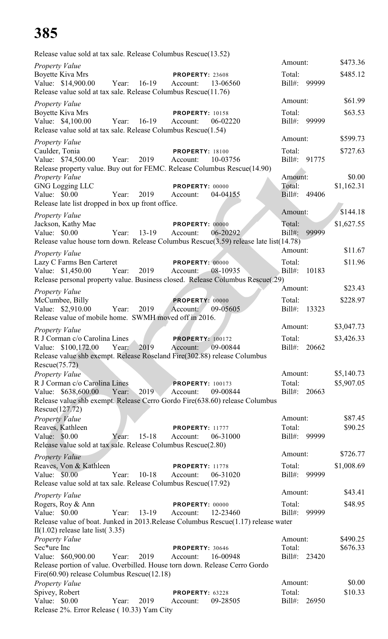| Release value sold at tax sale. Release Columbus Rescue(13.52)                                      |       |             |                             |          |                   |       |                          |
|-----------------------------------------------------------------------------------------------------|-------|-------------|-----------------------------|----------|-------------------|-------|--------------------------|
| <b>Property Value</b>                                                                               |       |             |                             |          | Amount:           |       | \$473.36                 |
| <b>Boyette Kiva Mrs</b>                                                                             |       |             | <b>PROPERTY: 23608</b>      |          | Total:            |       | \$485.12                 |
| Value: \$14,900.00<br>Release value sold at tax sale. Release Columbus Rescue(11.76)                |       | Year: 16-19 | Account:                    | 13-06560 | Bill#: 99999      |       |                          |
|                                                                                                     |       |             |                             |          | Amount:           |       | \$61.99                  |
| Property Value<br><b>Boyette Kiva Mrs</b>                                                           |       |             | <b>PROPERTY: 10158</b>      |          | Total:            |       | \$63.53                  |
| Value: \$4,100.00                                                                                   | Year: | 16-19       | Account:                    | 06-02220 | Bill#: 99999      |       |                          |
| Release value sold at tax sale. Release Columbus Rescue(1.54)                                       |       |             |                             |          |                   |       |                          |
| <b>Property Value</b>                                                                               |       |             |                             |          | Amount:           |       | \$599.73                 |
| Caulder, Tonia                                                                                      |       |             | <b>PROPERTY: 18100</b>      |          | Total:            |       | \$727.63                 |
| Value: \$74,500.00                                                                                  | Year: | 2019        | Account:                    | 10-03756 | Bill#: 91775      |       |                          |
| Release property value. Buy out for FEMC. Release Columbus Rescue(14.90)                            |       |             |                             |          | Amount:           |       | \$0.00                   |
| Property Value<br><b>GNG Logging LLC</b>                                                            |       |             | PROPERTY: 00000             |          | Total:            |       | \$1,162.31               |
| Value: \$0.00                                                                                       | Year: | 2019        | Account:                    | 04-04155 | Bill#: 49406      |       |                          |
| Release late list dropped in box up front office.                                                   |       |             |                             |          |                   |       |                          |
| <b>Property Value</b>                                                                               |       |             |                             |          | Amount:           |       | \$144.18                 |
| Jackson, Kathy Mae                                                                                  |       |             | <b>PROPERTY: 00000</b>      |          | Total:            |       | \$1,627.55               |
| Value: \$0.00                                                                                       | Year: | $13-19$     | Account:                    | 06-20292 | Bill#:            | 99999 |                          |
| Release value house torn down. Release Columbus Rescue(3.59) release late list(14.78)               |       |             |                             |          |                   |       |                          |
| Property Value                                                                                      |       |             |                             |          | Amount:           |       | \$11.67                  |
| Lazy C Farms Ben Carteret                                                                           |       |             | PROPERTY: 00000             |          | Total:            |       | \$11.96                  |
| Value: \$1,450.00<br>Release personal property value. Business closed. Release Columbus Rescue(.29) | Year: | 2019        | Account:                    | 08-10935 | $Bill#$ :         | 10183 |                          |
|                                                                                                     |       |             |                             |          | Amount:           |       | \$23.43                  |
| Property Value<br>McCumbee, Billy                                                                   |       |             | <b>PROPERTY: 00000</b>      |          | Total:            |       | \$228.97                 |
| Value: \$2,910.00                                                                                   | Year: | 2019        | Account:                    | 09-05605 | Bill#:            | 13323 |                          |
| Release value of mobile home. SWMH moved off in 2016.                                               |       |             |                             |          |                   |       |                          |
| <b>Property Value</b>                                                                               |       |             |                             |          | Amount:           |       | \$3,047.73               |
| R J Corman c/o Carolina Lines                                                                       |       |             | <b>PROPERTY: 100172</b>     |          | Total:            |       | \$3,426.33               |
| Value: \$100,172.00                                                                                 | Year: | 2019        | Account: 09-00844           |          | $Bill#$ :         | 20662 |                          |
| Release value shb exempt. Release Roseland Fire(302.88) release Columbus                            |       |             |                             |          |                   |       |                          |
| Rescue(75.72)                                                                                       |       |             |                             |          |                   |       |                          |
| Property Value<br>R J Corman c/o Carolina Lines                                                     |       |             | <b>PROPERTY: 100173</b>     |          | Amount:<br>Total: |       | \$5,140.73<br>\$5,907.05 |
| Value: \$638,600.00                                                                                 | Year: | 2019        | Account:                    | 09-00844 | Bill#: 20663      |       |                          |
| Release value shb exempt. Release Cerro Gordo Fire(638.60) release Columbus                         |       |             |                             |          |                   |       |                          |
| Rescue(127.72)                                                                                      |       |             |                             |          |                   |       |                          |
| <b>Property Value</b>                                                                               |       |             |                             |          | Amount:           |       | \$87.45                  |
| Reaves, Kathleen                                                                                    |       |             | <b>PROPERTY: 11777</b>      |          | Total:            |       | \$90.25                  |
| Value: \$0.00<br>Release value sold at tax sale. Release Columbus Rescue(2.80)                      | Year: | $15 - 18$   | Account:                    | 06-31000 | Bill#: 99999      |       |                          |
|                                                                                                     |       |             |                             |          | Amount:           |       | \$726.77                 |
| <b>Property Value</b><br>Reaves, Von & Kathleen                                                     |       |             | <b>PROPERTY: 11778</b>      |          | Total:            |       | \$1,008.69               |
| Value: \$0.00                                                                                       | Year: | $10 - 18$   | Account:                    | 06-31020 | Bill#: 99999      |       |                          |
| Release value sold at tax sale. Release Columbus Rescue(17.92)                                      |       |             |                             |          |                   |       |                          |
| <b>Property Value</b>                                                                               |       |             |                             |          | Amount:           |       | \$43.41                  |
| Rogers, Roy & Ann                                                                                   |       |             | PROPERTY: 00000             |          | Total:            |       | \$48.95                  |
| Value: \$0.00                                                                                       | Year: | 13-19       | Account:                    | 12-23460 | Bill#:            | 99999 |                          |
| Release value of boat. Junked in 2013. Release Columbus Rescue(1.17) release water                  |       |             |                             |          |                   |       |                          |
| $II(1.02)$ release late list(3.35)<br>Property Value                                                |       |             |                             |          | Amount:           |       | \$490.25                 |
| Sec*ure Inc                                                                                         |       |             | <b>PROPERTY: 30646</b>      |          | Total:            |       | \$676.33                 |
| Value: \$60,900.00                                                                                  | Year: | 2019        | Account:                    | 16-00948 | Bill#: 23420      |       |                          |
| Release portion of value. Overbilled. House torn down. Release Cerro Gordo                          |       |             |                             |          |                   |       |                          |
| Fire(60.90) release Columbus Rescue(12.18)                                                          |       |             |                             |          |                   |       |                          |
| Property Value                                                                                      |       |             |                             |          | Amount:<br>Total: |       | \$0.00<br>\$10.33        |
| Spivey, Robert<br>Value: $$0.00$                                                                    | Year: | 2019        | PROPERTY: 63228<br>Account: | 09-28505 | Bill#: 26950      |       |                          |
| Release 2%. Error Release (10.33) Yam City                                                          |       |             |                             |          |                   |       |                          |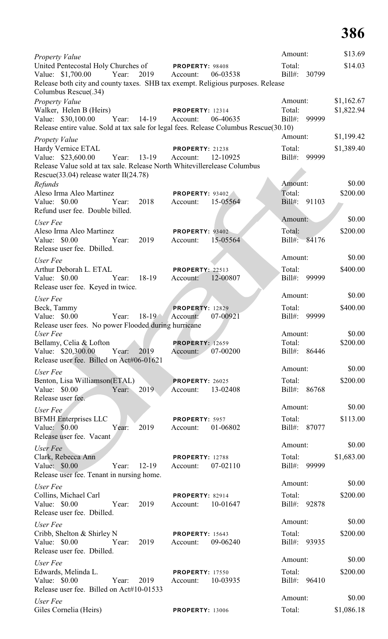| Property Value                                                                                                                |                                                | Amount:                      | \$13.69    |
|-------------------------------------------------------------------------------------------------------------------------------|------------------------------------------------|------------------------------|------------|
| United Pentecostal Holy Churches of PROPERTY: 98408<br>Value: \$1,700.00<br>Year:<br>2019                                     | 06-03538<br>Account:                           | Total:<br>$Bill#$ :<br>30799 | \$14.03    |
| Release both city and county taxes. SHB tax exempt. Religious purposes. Release<br>Columbus Rescue(.34)                       |                                                |                              |            |
| Property Value                                                                                                                |                                                | Amount:                      | \$1,162.67 |
| Walker, Helen B (Heirs)                                                                                                       | <b>PROPERTY: 12314</b>                         | Total:                       | \$1,822.94 |
| Value: \$30,100.00<br>Year:<br>14-19<br>Release entire value. Sold at tax sale for legal fees. Release Columbus Rescue(30.10) | 06-40635<br>Account:                           | Bill#:<br>99999              |            |
|                                                                                                                               |                                                | Amount:                      | \$1,199.42 |
| <b>Propety Value</b><br>Hardy Vernice ETAL                                                                                    | <b>PROPERTY: 21238</b>                         | Total:                       | \$1,389.40 |
| Value: \$23,600.00<br>Year:<br>13-19                                                                                          | 12-10925<br>Account:                           | Bill#:<br>99999              |            |
| Release Value sold at tax sale. Release North Whitevillerelease Columbus<br>Rescue $(33.04)$ release water II $(24.78)$       |                                                |                              |            |
| Refunds                                                                                                                       |                                                | Amount:                      | \$0.00     |
| Aleso Irma Aleo Martinez                                                                                                      | <b>PROPERTY: 93402</b>                         | Total:                       | \$200.00   |
| Value: \$0.00<br>Year:<br>2018<br>Refund user fee. Double billed.                                                             | 15-05564<br>Account:                           | $Bill#$ :<br>91103           |            |
| User Fee                                                                                                                      |                                                | Amount:                      | \$0.00     |
| Aleso Irma Aleo Martinez                                                                                                      | PROPERTY: 93402                                | Total:                       | \$200.00   |
| Value: \$0.00<br>2019<br>Year:                                                                                                | 15-05564<br>Account:                           | Bill#: 84176                 |            |
| Release user fee. Dbilled.                                                                                                    |                                                | Amount:                      | \$0.00     |
| User Fee<br>Arthur Deborah L. ETAL                                                                                            | PROPERTY: 22513                                | Total:                       | \$400.00   |
| Value: \$0.00<br>18-19<br>Year:                                                                                               | 12-00807<br>Account:                           | Bill#:<br>99999              |            |
| Release user fee. Keyed in twice.                                                                                             |                                                |                              |            |
| User Fee                                                                                                                      |                                                | Amount:                      | \$0.00     |
| Beck, Tammy<br>$18-19$<br>Value: \$0.00<br>Year:                                                                              | <b>PROPERTY: 12829</b><br>07-00921<br>Account: | Total:<br>$Bill#$ :<br>99999 | \$400.00   |
| Release user fees. No power Flooded during hurricane                                                                          |                                                |                              |            |
| User Fee                                                                                                                      |                                                | Amount:                      | \$0.00     |
| Bellamy, Celia & Lofton<br>Value: \$20,300.00<br>Year:<br>2019                                                                | <b>PROPERTY: 12659</b><br>07-00200             | Total:<br>Bill#:<br>86446    | \$200.00   |
| Release user fee. Billed on Act#06-01621                                                                                      | Account:                                       |                              |            |
| User Fee                                                                                                                      |                                                | Amount:                      | \$0.00     |
| Benton, Lisa Williamson(ETAL)                                                                                                 | <b>PROPERTY: 26025</b>                         | Total:                       | \$200.00   |
| Value: \$0.00<br>2019<br>Year:<br>Release user fee.                                                                           | 13-02408<br>Account:                           | Bill#:<br>86768              |            |
|                                                                                                                               |                                                | Amount:                      | \$0.00     |
| User Fee<br><b>BFMH</b> Enterprises LLC                                                                                       | PROPERTY: 5957                                 | Total:                       | \$113.00   |
| Value: \$0.00<br>2019<br>Year:                                                                                                | 01-06802<br>Account:                           | Bill#: 87077                 |            |
| Release user fee. Vacant                                                                                                      |                                                | Amount:                      | \$0.00     |
| User Fee                                                                                                                      |                                                |                              |            |
| Clark, Rebecca Ann<br>Value: \$0.00<br>$12-19$<br>Year:                                                                       | <b>PROPERTY: 12788</b><br>07-02110<br>Account: | Total:<br>Bill#:<br>99999    | \$1,683.00 |
| Release user fee. Tenant in nursing home.                                                                                     |                                                |                              |            |
| User Fee                                                                                                                      |                                                | Amount:                      | \$0.00     |
| Collins, Michael Carl                                                                                                         | PROPERTY: 82914                                | Total:                       | \$200.00   |
| Value: \$0.00<br>2019<br>Year:<br>Release user fee. Dbilled.                                                                  | 10-01647<br>Account:                           | Bill#: 92878                 |            |
| User Fee                                                                                                                      |                                                | Amount:                      | \$0.00     |
| Cribb, Shelton & Shirley N                                                                                                    | <b>PROPERTY: 15643</b>                         | Total:                       | \$200.00   |
| Value: \$0.00<br>2019<br>Year:                                                                                                | 09-06240<br>Account:                           | Bill#: 93935                 |            |
| Release user fee. Dbilled.                                                                                                    |                                                | Amount:                      | \$0.00     |
| User Fee<br>Edwards, Melinda L.                                                                                               | <b>PROPERTY: 17550</b>                         | Total:                       | \$200.00   |
| Value: $$0.00$<br>Year:<br>2019                                                                                               | 10-03935<br>Account:                           | Bill#: 96410                 |            |
| Release user fee. Billed on Act#10-01533                                                                                      |                                                |                              |            |
| User Fee                                                                                                                      |                                                | Amount:                      | \$0.00     |
| Giles Cornelia (Heirs)                                                                                                        | <b>PROPERTY: 13006</b>                         | Total:                       | \$1,086.18 |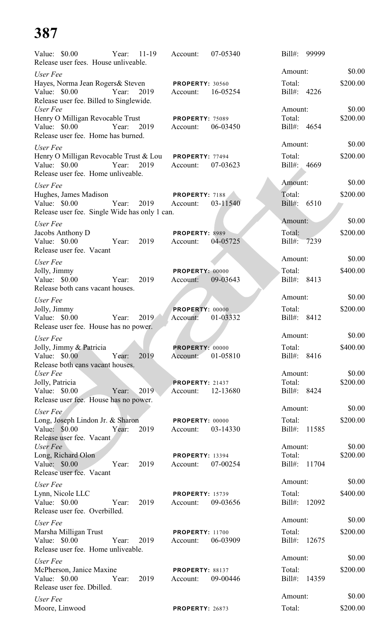| Value: \$0.00                                                  | Year: | $11 - 19$ | Account:                    | 07-05340 | $Bill#$ :   | 99999       |          |
|----------------------------------------------------------------|-------|-----------|-----------------------------|----------|-------------|-------------|----------|
| Release user fees. House unliveable.                           |       |           |                             |          | Amount:     |             | \$0.00   |
| User Fee<br>Hayes, Norma Jean Rogers & Steven                  |       |           | <b>PROPERTY: 30560</b>      |          | Total:      |             | \$200.00 |
| Value: \$0.00<br>Release user fee. Billed to Singlewide.       | Year: | 2019      | Account:                    | 16-05254 | Bill#:      | 4226        |          |
| User Fee                                                       |       |           |                             |          | Amount:     |             | \$0.00   |
| Henry O Milligan Revocable Trust                               | Year: |           | <b>PROPERTY: 75089</b>      |          | Total:      |             | \$200.00 |
| Value: \$0.00<br>Release user fee. Home has burned.            |       | 2019      | Account:                    | 06-03450 |             | Bill#: 4654 |          |
| User Fee                                                       |       |           |                             |          | Amount:     |             | \$0.00   |
| Henry O Milligan Revocable Trust & Lou                         |       |           | <b>PROPERTY: 77494</b>      |          | Total:      |             | \$200.00 |
| Value: \$0.00                                                  | Year: | 2019      | Account:                    | 07-03623 |             | Bill#: 4669 |          |
| Release user fee. Home unliveable.                             |       |           |                             |          |             |             |          |
| User Fee                                                       |       |           |                             |          | Amount:     |             | \$0.00   |
| Hughes, James Madison                                          |       |           | PROPERTY: 7188              |          | Total:      |             | \$200.00 |
| Value: \$0.00<br>Release user fee. Single Wide has only 1 can. | Year: | 2019      | Account:                    | 03-11540 | Bill#: 6510 |             |          |
|                                                                |       |           |                             |          | Amount:     |             | \$0.00   |
| User Fee<br>Jacobs Anthony D                                   |       |           | PROPERTY: 8989              |          | Total:      |             | \$200.00 |
| Value: \$0.00                                                  | Year: | 2019      | Account:                    | 04-05725 | Bill#:      | 7239        |          |
| Release user fee. Vacant                                       |       |           |                             |          |             |             |          |
| User Fee                                                       |       |           |                             |          | Amount:     |             | \$0.00   |
| Jolly, Jimmy                                                   |       |           | PROPERTY: 00000             |          | Total:      |             | \$400.00 |
| Value: \$0.00                                                  | Year: | 2019      | Account:                    | 09-03643 | Bill#: 8413 |             |          |
| Release both cans vacant houses.                               |       |           |                             |          | Amount:     |             | \$0.00   |
| User Fee<br>Jolly, Jimmy                                       |       |           | PROPERTY: 00000             |          | Total:      |             | \$200.00 |
| Value: \$0.00                                                  | Year: | 2019      | Account:                    | 01-03332 | Bill#:      | 8412        |          |
| Release user fee. House has no power.                          |       |           |                             |          |             |             |          |
| User Fee                                                       |       |           |                             |          | Amount:     |             | \$0.00   |
| Jolly, Jimmy & Patricia                                        |       |           | PROPERTY: 00000             |          | Total:      |             | \$400.00 |
| Value: \$0.00                                                  | Year: | 2019      | Account:                    | 01-05810 | Bill#:      | 8416        |          |
| Release both cans vacant houses.<br>User Fee                   |       |           |                             |          | Amount:     |             | \$0.00   |
| Jolly, Patricia                                                |       |           | <b>PROPERTY: 21437</b>      |          | Total:      |             | \$200.00 |
| Value: \$0.00                                                  | Year: | 2019      | Account:                    | 12-13680 | Bill#:      | 8424        |          |
| Release user fee. House has no power.                          |       |           |                             |          |             |             |          |
| User Fee                                                       |       |           |                             |          | Amount:     |             | \$0.00   |
| Long, Joseph Lindon Jr. & Sharon                               |       |           | PROPERTY: 00000             |          | Total:      |             | \$200.00 |
| Value: \$0.00<br>Release user fee. Vacant                      | Year: | 2019      | Account:                    | 03-14330 | $Bill#$ :   | 11585       |          |
| User Fee                                                       |       |           |                             |          | Amount:     |             | \$0.00   |
| Long, Richard Olon                                             |       |           | <b>PROPERTY: 13394</b>      |          | Total:      |             | \$200.00 |
| Value: \$0.00                                                  | Year: | 2019      | Account:                    | 07-00254 | Bill#:      | 11704       |          |
| Release user fee. Vacant                                       |       |           |                             |          | Amount:     |             | \$0.00   |
| User Fee<br>Lynn, Nicole LLC                                   |       |           | <b>PROPERTY: 15739</b>      |          | Total:      |             | \$400.00 |
| Value: \$0.00                                                  | Year: | 2019      | Account:                    | 09-03656 | Bill#:      | 12092       |          |
| Release user fee. Overbilled.                                  |       |           |                             |          |             |             |          |
| User Fee                                                       |       |           |                             |          | Amount:     |             | \$0.00   |
| Marsha Milligan Trust                                          |       |           | <b>PROPERTY: 11700</b>      |          | Total:      |             | \$200.00 |
| Value: \$0.00                                                  | Year: | 2019      | Account:                    | 06-03909 | $Bill#$ :   | 12675       |          |
| Release user fee. Home unliveable.                             |       |           |                             |          | Amount:     |             | \$0.00   |
| User Fee                                                       |       |           |                             |          | Total:      |             | \$200.00 |
| McPherson, Janice Maxine<br>Value: \$0.00                      | Year: | 2019      | PROPERTY: 88137<br>Account: | 09-00446 | Bill#:      | 14359       |          |
| Release user fee. Dbilled.                                     |       |           |                             |          |             |             |          |
| User Fee                                                       |       |           |                             |          | Amount:     |             | \$0.00   |
| Moore, Linwood                                                 |       |           | <b>PROPERTY: 26873</b>      |          | Total:      |             | \$200.00 |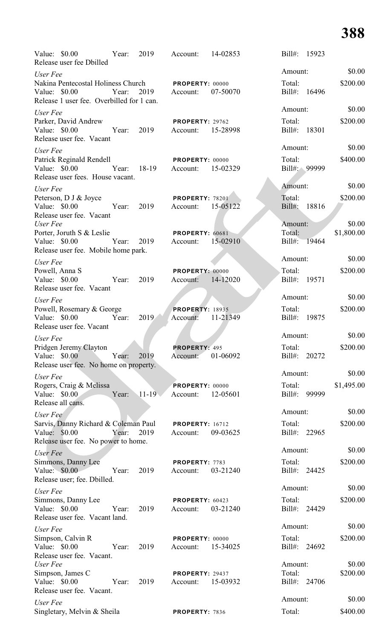| Value: \$0.00<br>Release user fee Dbilled                                                                        | Year:                |           | 2019 Account:                               | 14-02853 | Bill#: 15923                      |                      |
|------------------------------------------------------------------------------------------------------------------|----------------------|-----------|---------------------------------------------|----------|-----------------------------------|----------------------|
| User Fee                                                                                                         |                      |           |                                             |          | Amount:                           | \$0.00               |
| Nakina Pentecostal Holiness Church PROPERTY: 00000<br>Value: \$0.00<br>Release 1 user fee. Overbilled for 1 can. | Year:                |           | 2019 Account:                               | 07-50070 | Total:<br>Bill#: 16496            | \$200.00             |
| User Fee                                                                                                         |                      |           |                                             |          | Amount:                           | \$0.00               |
| Parker, David Andrew<br>Value: \$0.00<br>Release user fee. Vacant                                                | Year: 2019           |           | <b>PROPERTY: 29762</b><br>Account: 15-28998 |          | Total:<br>Bill#: 18301            | \$200.00             |
| User Fee                                                                                                         |                      |           |                                             |          | Amount:                           | \$0.00               |
| Patrick Reginald Rendell<br>Value: \$0.00<br>Release user fees. House vacant.                                    | Year: 18-19 Account: |           | <b>PROPERTY: 00000</b>                      | 15-02329 | Total:<br>Bill#: 99999            | \$400.00             |
| User Fee                                                                                                         |                      |           |                                             |          | Amount:                           | \$0.00               |
| Peterson, D J & Joyce<br>Value: \$0.00<br>Release user fee. Vacant                                               | Year: 2019           |           | PROPERTY: 78201<br>Account:                 | 15-05122 | Total:<br>$Bill#$ :<br>18816      | \$200.00             |
| User Fee<br>Porter, Joruth S & Leslie                                                                            |                      |           | PROPERTY: 60681                             |          | Amount:<br>Total:                 | \$0.00<br>\$1,800.00 |
| Value: \$0.00<br>Release user fee. Mobile home park.                                                             | Year:                | 2019      | Account:                                    | 15-02910 | Bill#: 19464                      |                      |
| User Fee                                                                                                         |                      |           |                                             |          | Amount:                           | \$0.00               |
| Powell, Anna S<br>Value: \$0.00<br>Release user fee. Vacant                                                      | Year:                | 2019      | PROPERTY: 00000<br>Account:                 | 14-12020 | Total:<br>Bill#: 19571            | \$200.00             |
| User Fee                                                                                                         |                      |           |                                             |          | Amount:                           | \$0.00               |
| Powell, Rosemary & George<br>Value: \$0.00<br>Release user fee. Vacant                                           | Year:                | 2019      | <b>PROPERTY: 18935</b><br>Account:          | 11-21349 | Total:<br>$Bill#$ :<br>19875      | \$200.00             |
| User Fee                                                                                                         |                      |           |                                             |          | Amount:                           | \$0.00               |
| Pridgen Jeremy Clayton<br>Value: \$0.00<br>Release user fee. No home on property.                                | Year:                | 2019      | PROPERTY: 495<br>Account:                   | 01-06092 | Total:<br>$Bill#$ :<br>20272      | \$200.00             |
| User Fee                                                                                                         |                      |           |                                             |          | Amount:                           | \$0.00               |
| Rogers, Craig & Melissa                                                                                          |                      |           | PROPERTY: 00000                             |          | Total:                            | \$1,495.00           |
| Value: \$0.00<br>Release all cans.                                                                               | Year:                | $11 - 19$ | Account:                                    | 12-05601 | 99999<br>$Bill#$ :                |                      |
| User Fee                                                                                                         |                      |           |                                             |          | Amount:                           | \$0.00               |
| Sarvis, Danny Richard & Coleman Paul<br>Value: \$0.00<br>Release user fee. No power to home.                     | Year:                | 2019      | <b>PROPERTY: 16712</b><br>Account:          | 09-03625 | Total:<br>$Bill#$ :<br>22965      | \$200.00             |
| User Fee                                                                                                         |                      |           |                                             |          | Amount:                           | \$0.00               |
| Simmons, Danny Lee<br>Value: \$0.00<br>Release user; fee. Dbilled.                                               | Year:                | 2019      | PROPERTY: 7783<br>Account:                  | 03-21240 | Total:<br>$Bill#$ :<br>24425      | \$200.00             |
| User Fee                                                                                                         |                      |           |                                             |          | Amount:                           | \$0.00               |
| Simmons, Danny Lee<br>Value: \$0.00<br>Release user fee. Vacant land.                                            | Year:                | 2019      | PROPERTY: 60423<br>Account:                 | 03-21240 | Total:<br>$Bill#$ :<br>24429      | \$200.00             |
| User Fee                                                                                                         |                      |           |                                             |          | Amount:                           | \$0.00               |
| Simpson, Calvin R<br>Value: \$0.00<br>Release user fee. Vacant.                                                  | Year:                | 2019      | PROPERTY: 00000<br>Account:                 | 15-34025 | Total:<br>$Bill#$ :<br>24692      | \$200.00             |
| User Fee<br>Simpson, James C<br>Value: \$0.00<br>Release user fee. Vacant.                                       | Year:                | 2019      | PROPERTY: 29437<br>Account:                 | 15-03932 | Amount:<br>Total:<br>Bill#: 24706 | \$0.00<br>\$200.00   |
| User Fee                                                                                                         |                      |           |                                             |          | Amount:                           | \$0.00               |
| Singletary, Melvin & Sheila                                                                                      |                      |           | PROPERTY: 7836                              |          | Total:                            | \$400.00             |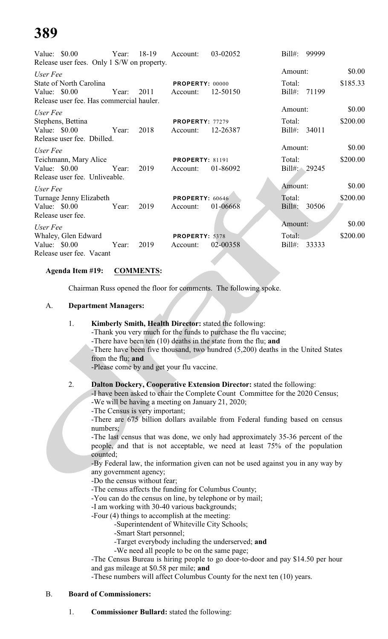|                | Value: $$0.00$<br>Release user fees. Only 1 S/W on property. |       | Year: 18-19 | Account:                           | 03-02052 | $Bill#$ :              | 99999 |          |
|----------------|--------------------------------------------------------------|-------|-------------|------------------------------------|----------|------------------------|-------|----------|
|                |                                                              |       |             |                                    |          | Amount:                |       | \$0.00   |
| User Fee       | <b>State of North Carolina</b>                               |       |             | <b>PROPERTY: 00000</b>             |          | Total:                 |       | \$185.33 |
| Value: \$0.00  | Release user fee. Has commercial hauler.                     |       | Year: 2011  | Account:                           | 12-50150 | Bill#:                 | 71199 |          |
| User Fee       |                                                              |       |             |                                    |          | Amount:                |       | \$0.00   |
| Value: \$0.00  | Stephens, Bettina<br>Release user fee. Dbilled.              | Year: | 2018        | <b>PROPERTY: 77279</b><br>Account: | 12-26387 | Total:<br>Bill#: 34011 |       | \$200.00 |
| User Fee       |                                                              |       |             |                                    |          | Amount:                |       | \$0.00   |
| Value: $$0.00$ | Teichmann, Mary Alice<br>Release user fee. Unliveable.       | Year: | 2019        | <b>PROPERTY: 81191</b><br>Account: | 01-86092 | Total:<br>Bill#: 29245 |       | \$200.00 |
| User Fee       |                                                              |       |             |                                    |          | Amount:                |       | \$0.00   |
| Value: $$0.00$ | Turnage Jenny Elizabeth<br>Release user fee.                 | Year: | 2019        | PROPERTY: 60646<br>Account:        | 01-06668 | Total:<br>$Bill#$ :    | 30506 | \$200.00 |
| User Fee       |                                                              |       |             |                                    |          | Amount:                |       | \$0.00   |
| Value: \$0.00  | Whaley, Glen Edward<br>Release user fee. Vacant              | Year: | 2019        | <b>PROPERTY: 5378</b><br>Account:  | 02-00358 | Total:<br>$Bill#$ :    | 33333 | \$200.00 |

#### **Agenda Item #19: COMMENTS:**

Chairman Russ opened the floor for comments. The following spoke.

#### A. **Department Managers:**

- 1. **Kimberly Smith, Health Director:** stated the following: -Thank you very much for the funds to purchase the flu vaccine; -There have been ten (10) deaths in the state from the flu; **and**
	- -There have been five thousand, two hundred (5,200) deaths in the United States from the flu; **and**

-Please come by and get your flu vaccine.

#### 2. **Dalton Dockery, Cooperative Extension Director:** stated the following:

-I have been asked to chair the Complete Count Committee for the 2020 Census;

-We will be having a meeting on January 21, 2020;

-The Census is very important;

-There are 675 billion dollars available from Federal funding based on census numbers;

-The last census that was done, we only had approximately 35-36 percent of the people, and that is not acceptable, we need at least 75% of the population counted;

-By Federal law, the information given can not be used against you in any way by any government agency;

-Do the census without fear;

- -The census affects the funding for Columbus County;
- -You can do the census on line, by telephone or by mail;
- -I am working with 30-40 various backgrounds;
- -Four (4) things to accomplish at the meeting:
	- -Superintendent of Whiteville City Schools;
	- -Smart Start personnel;
	- -Target everybody including the underserved; **and**
	- -We need all people to be on the same page;

-The Census Bureau is hiring people to go door-to-door and pay \$14.50 per hour and gas mileage at \$0.58 per mile; **and**

-These numbers will affect Columbus County for the next ten (10) years.

#### B. **Board of Commissioners:**

1. **Commissioner Bullard:** stated the following: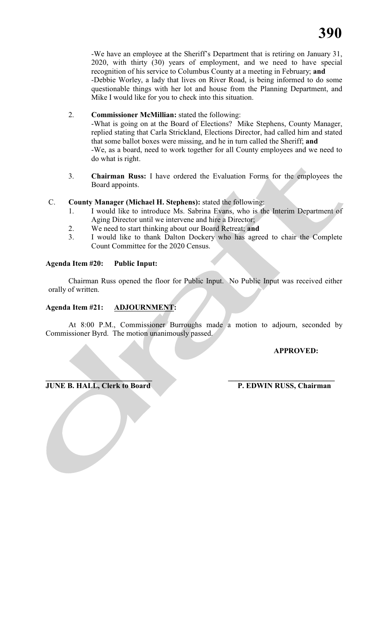-We have an employee at the Sheriff's Department that is retiring on January 31, 2020, with thirty (30) years of employment, and we need to have special recognition of his service to Columbus County at a meeting in February; **and** -Debbie Worley, a lady that lives on River Road, is being informed to do some questionable things with her lot and house from the Planning Department, and Mike I would like for you to check into this situation.

2. **Commissioner McMillian:** stated the following:

-What is going on at the Board of Elections? Mike Stephens, County Manager, replied stating that Carla Strickland, Elections Director, had called him and stated that some ballot boxes were missing, and he in turn called the Sheriff; **and** -We, as a board, need to work together for all County employees and we need to do what is right.

3. **Chairman Russ:** I have ordered the Evaluation Forms for the employees the Board appoints.

#### C. **County Manager (Michael H. Stephens):** stated the following:

- 1. I would like to introduce Ms. Sabrina Evans, who is the Interim Department of Aging Director until we intervene and hire a Director;
- 2. We need to start thinking about our Board Retreat; **and**
- 3. I would like to thank Dalton Dockery who has agreed to chair the Complete Count Committee for the 2020 Census.

#### **Agenda Item #20: Public Input:**

Chairman Russ opened the floor for Public Input. No Public Input was received either orally of written.

#### **Agenda Item #21: ADJOURNMENT:**

At 8:00 P.M., Commissioner Burroughs made a motion to adjourn, seconded by Commissioner Byrd. The motion unanimously passed.

### **APPROVED:**

#### **\_\_\_\_\_\_\_\_\_\_\_\_\_\_\_\_\_\_\_\_\_\_\_\_\_\_\_\_ \_\_\_\_\_\_\_\_\_\_\_\_\_\_\_\_\_\_\_\_\_\_\_\_\_\_\_\_ JUNE B. HALL, Clerk to Board P. EDWIN RUSS, Chairman**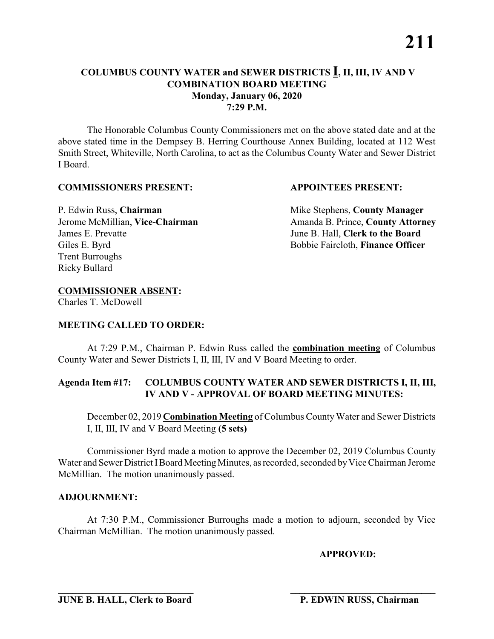The Honorable Columbus County Commissioners met on the above stated date and at the above stated time in the Dempsey B. Herring Courthouse Annex Building, located at 112 West Smith Street, Whiteville, North Carolina, to act as the Columbus County Water and Sewer District I Board.

#### **COMMISSIONERS PRESENT: APPOINTEES PRESENT:**

James E. Prevatte June B. Hall, **Clerk to the Board** Giles E. Byrd **Bobbie Faircloth, Finance Officer** Trent Burroughs Ricky Bullard

P. Edwin Russ, **Chairman** Mike Stephens, **County Manager** Jerome McMillian, Vice-Chairman Amanda B. Prince, County Attorney

### **COMMISSIONER ABSENT:**

Charles T. McDowell

### **MEETING CALLED TO ORDER:**

At 7:29 P.M., Chairman P. Edwin Russ called the **combination meeting** of Columbus County Water and Sewer Districts I, II, III, IV and V Board Meeting to order.

#### **Agenda Item #17: COLUMBUS COUNTY WATER AND SEWER DISTRICTS I, II, III, IV AND V - APPROVAL OF BOARD MEETING MINUTES:**

December 02, 2019 **Combination Meeting** of Columbus County Water and Sewer Districts I, II, III, IV and V Board Meeting **(5 sets)**

Commissioner Byrd made a motion to approve the December 02, 2019 Columbus County Water and Sewer District I Board Meeting Minutes, as recorded, seconded by Vice Chairman Jerome McMillian. The motion unanimously passed.

#### **ADJOURNMENT:**

At 7:30 P.M., Commissioner Burroughs made a motion to adjourn, seconded by Vice Chairman McMillian. The motion unanimously passed.

**APPROVED:**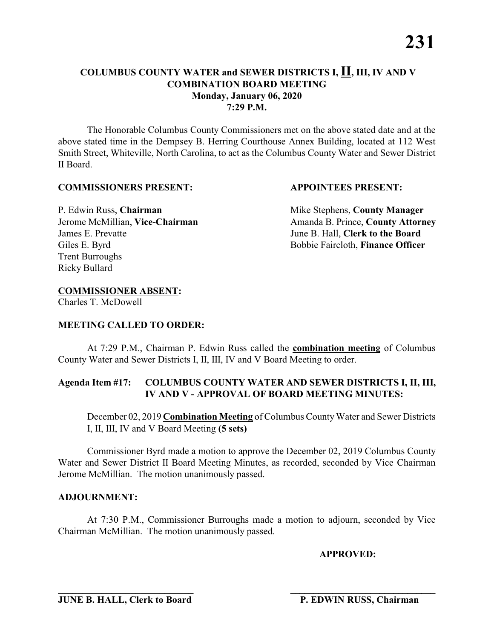The Honorable Columbus County Commissioners met on the above stated date and at the above stated time in the Dempsey B. Herring Courthouse Annex Building, located at 112 West Smith Street, Whiteville, North Carolina, to act as the Columbus County Water and Sewer District II Board.

#### **COMMISSIONERS PRESENT: APPOINTEES PRESENT:**

James E. Prevatte June B. Hall, **Clerk to the Board** Giles E. Byrd **Bobbie Faircloth, Finance Officer** Trent Burroughs Ricky Bullard

P. Edwin Russ, **Chairman** Mike Stephens, **County Manager** Jerome McMillian, Vice-Chairman Amanda B. Prince, County Attorney

#### **COMMISSIONER ABSENT:**

Charles T. McDowell

#### **MEETING CALLED TO ORDER:**

At 7:29 P.M., Chairman P. Edwin Russ called the **combination meeting** of Columbus County Water and Sewer Districts I, II, III, IV and V Board Meeting to order.

#### **Agenda Item #17: COLUMBUS COUNTY WATER AND SEWER DISTRICTS I, II, III, IV AND V - APPROVAL OF BOARD MEETING MINUTES:**

December 02, 2019 **Combination Meeting** of Columbus County Water and Sewer Districts I, II, III, IV and V Board Meeting **(5 sets)**

Commissioner Byrd made a motion to approve the December 02, 2019 Columbus County Water and Sewer District II Board Meeting Minutes, as recorded, seconded by Vice Chairman Jerome McMillian. The motion unanimously passed.

#### **ADJOURNMENT:**

At 7:30 P.M., Commissioner Burroughs made a motion to adjourn, seconded by Vice Chairman McMillian. The motion unanimously passed.

**\_\_\_\_\_\_\_\_\_\_\_\_\_\_\_\_\_\_\_\_\_\_\_\_\_\_\_\_ \_\_\_\_\_\_\_\_\_\_\_\_\_\_\_\_\_\_\_\_\_\_\_\_\_\_\_\_\_\_\_**

**APPROVED:**

**JUNE B. HALL, Clerk to Board P. EDWIN RUSS, Chairman**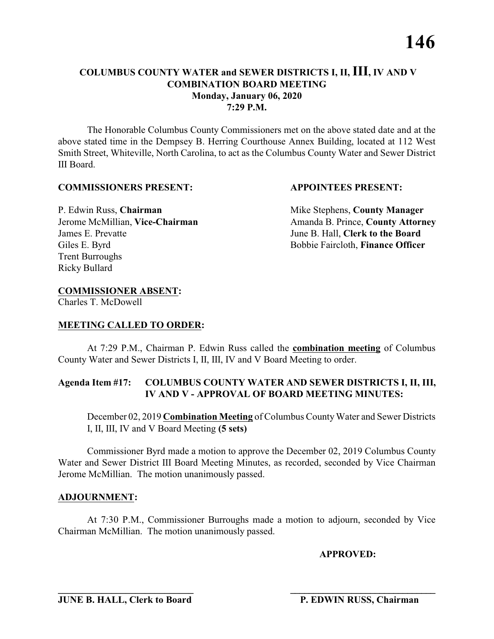The Honorable Columbus County Commissioners met on the above stated date and at the above stated time in the Dempsey B. Herring Courthouse Annex Building, located at 112 West Smith Street, Whiteville, North Carolina, to act as the Columbus County Water and Sewer District III Board.

#### **COMMISSIONERS PRESENT: APPOINTEES PRESENT:**

James E. Prevatte June B. Hall, **Clerk to the Board** Giles E. Byrd **Bobbie Faircloth, Finance Officer** Trent Burroughs Ricky Bullard

P. Edwin Russ, **Chairman** Mike Stephens, **County Manager** Jerome McMillian, Vice-Chairman Amanda B. Prince, County Attorney

### **COMMISSIONER ABSENT:**

Charles T. McDowell

#### **MEETING CALLED TO ORDER:**

At 7:29 P.M., Chairman P. Edwin Russ called the **combination meeting** of Columbus County Water and Sewer Districts I, II, III, IV and V Board Meeting to order.

#### **Agenda Item #17: COLUMBUS COUNTY WATER AND SEWER DISTRICTS I, II, III, IV AND V - APPROVAL OF BOARD MEETING MINUTES:**

December 02, 2019 **Combination Meeting** of Columbus County Water and Sewer Districts I, II, III, IV and V Board Meeting **(5 sets)**

Commissioner Byrd made a motion to approve the December 02, 2019 Columbus County Water and Sewer District III Board Meeting Minutes, as recorded, seconded by Vice Chairman Jerome McMillian. The motion unanimously passed.

#### **ADJOURNMENT:**

At 7:30 P.M., Commissioner Burroughs made a motion to adjourn, seconded by Vice Chairman McMillian. The motion unanimously passed.

**\_\_\_\_\_\_\_\_\_\_\_\_\_\_\_\_\_\_\_\_\_\_\_\_\_\_\_\_ \_\_\_\_\_\_\_\_\_\_\_\_\_\_\_\_\_\_\_\_\_\_\_\_\_\_\_\_\_\_\_**

**APPROVED:**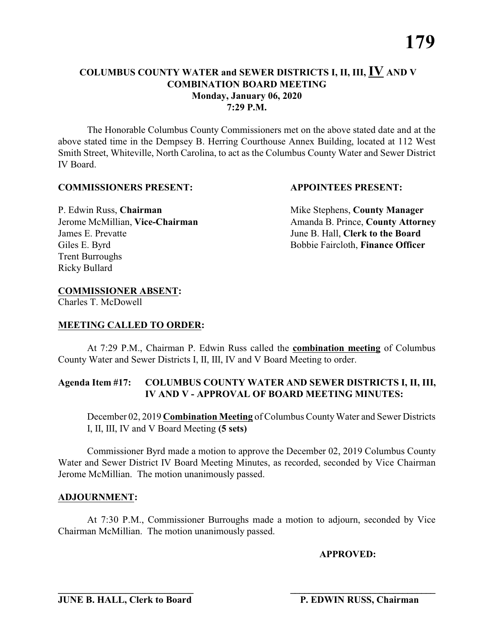The Honorable Columbus County Commissioners met on the above stated date and at the above stated time in the Dempsey B. Herring Courthouse Annex Building, located at 112 West Smith Street, Whiteville, North Carolina, to act as the Columbus County Water and Sewer District IV Board.

#### **COMMISSIONERS PRESENT: APPOINTEES PRESENT:**

P. Edwin Russ, **Chairman** Mike Stephens, **County Manager** James E. Prevatte June B. Hall, **Clerk to the Board** Giles E. Byrd **Bobbie Faircloth, Finance Officer** Trent Burroughs Ricky Bullard

Jerome McMillian, Vice-Chairman Amanda B. Prince, County Attorney

### **COMMISSIONER ABSENT:**

Charles T. McDowell

### **MEETING CALLED TO ORDER:**

At 7:29 P.M., Chairman P. Edwin Russ called the **combination meeting** of Columbus County Water and Sewer Districts I, II, III, IV and V Board Meeting to order.

#### **Agenda Item #17: COLUMBUS COUNTY WATER AND SEWER DISTRICTS I, II, III, IV AND V - APPROVAL OF BOARD MEETING MINUTES:**

December 02, 2019 **Combination Meeting** of Columbus County Water and Sewer Districts I, II, III, IV and V Board Meeting **(5 sets)**

Commissioner Byrd made a motion to approve the December 02, 2019 Columbus County Water and Sewer District IV Board Meeting Minutes, as recorded, seconded by Vice Chairman Jerome McMillian. The motion unanimously passed.

#### **ADJOURNMENT:**

At 7:30 P.M., Commissioner Burroughs made a motion to adjourn, seconded by Vice Chairman McMillian. The motion unanimously passed.

**APPROVED:**